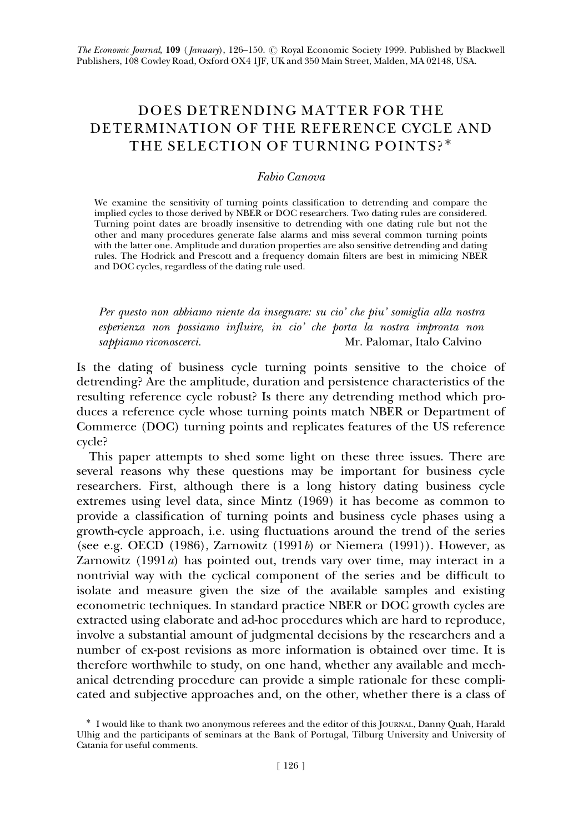# DOES DETRENDING MATTER FOR THE DETERMINATION OF THE REFERENCE CYCLE AND THE SELECTION OF TURNING POINTS?

### Fabio Canova

We examine the sensitivity of turning points classification to detrending and compare the implied cycles to those derived by NBER or DOC researchers. Two dating rules are considered. Turning point dates are broadly insensitive to detrending with one dating rule but not the other and many procedures generate false alarms and miss several common turning points with the latter one. Amplitude and duration properties are also sensitive detrending and dating rules. The Hodrick and Prescott and a frequency domain filters are best in mimicing NBER and DOC cycles, regardless of the dating rule used.

Per questo non abbiamo niente da insegnare: su cio' che piu' somiglia alla nostra esperienza non possiamo influire, in cio' che porta la nostra impronta non sappiamo riconoscerci. The metal metal of the Mr. Palomar, Italo Calvino

Is the dating of business cycle turning points sensitive to the choice of detrending? Are the amplitude, duration and persistence characteristics of the resulting reference cycle robust? Is there any detrending method which produces a reference cycle whose turning points match NBER or Department of Commerce (DOC) turning points and replicates features of the US reference cycle?

This paper attempts to shed some light on these three issues. There are several reasons why these questions may be important for business cycle researchers. First, although there is a long history dating business cycle extremes using level data, since Mintz (1969) it has become as common to provide a classification of turning points and business cycle phases using a growth-cycle approach, i.e. using fluctuations around the trend of the series (see e.g. OECD  $(1986)$ , Zarnowitz  $(1991b)$  or Niemera  $(1991)$ ). However, as Zarnowitz  $(1991a)$  has pointed out, trends vary over time, may interact in a nontrivial way with the cyclical component of the series and be difficult to isolate and measure given the size of the available samples and existing econometric techniques. In standard practice NBER or DOC growth cycles are extracted using elaborate and ad-hoc procedures which are hard to reproduce, involve a substantial amount of judgmental decisions by the researchers and a number of ex-post revisions as more information is obtained over time. It is therefore worthwhile to study, on one hand, whether any available and mechanical detrending procedure can provide a simple rationale for these complicated and subjective approaches and, on the other, whether there is a class of

I would like to thank two anonymous referees and the editor of this JOURNAL, Danny Quah, Harald Ulhig and the participants of seminars at the Bank of Portugal, Tilburg University and University of Catania for useful comments.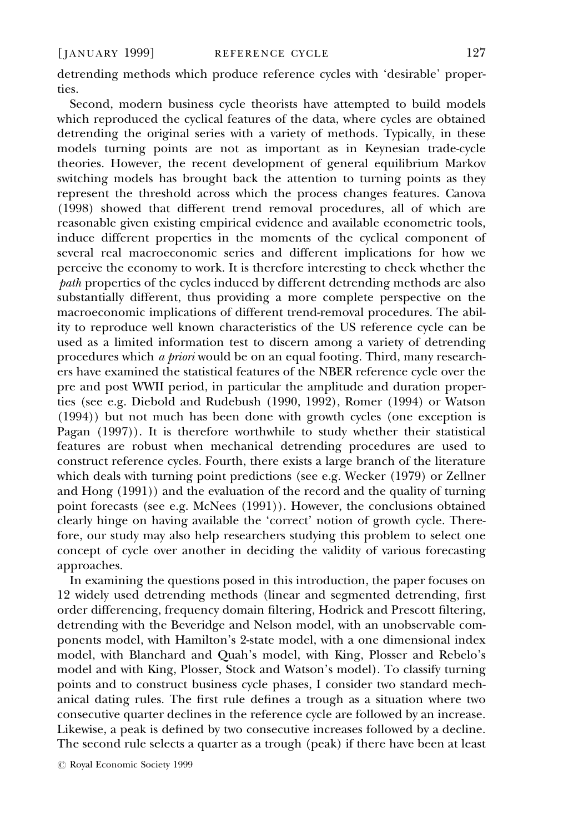detrending methods which produce reference cycles with `desirable' properties.

Second, modern business cycle theorists have attempted to build models which reproduced the cyclical features of the data, where cycles are obtained detrending the original series with a variety of methods. Typically, in these models turning points are not as important as in Keynesian trade-cycle theories. However, the recent development of general equilibrium Markov switching models has brought back the attention to turning points as they represent the threshold across which the process changes features. Canova (1998) showed that different trend removal procedures, all of which are reasonable given existing empirical evidence and available econometric tools, induce different properties in the moments of the cyclical component of several real macroeconomic series and different implications for how we perceive the economy to work. It is therefore interesting to check whether the path properties of the cycles induced by different detrending methods are also substantially different, thus providing a more complete perspective on the macroeconomic implications of different trend-removal procedures. The ability to reproduce well known characteristics of the US reference cycle can be used as a limited information test to discern among a variety of detrending procedures which a priori would be on an equal footing. Third, many researchers have examined the statistical features of the NBER reference cycle over the pre and post WWII period, in particular the amplitude and duration properties (see e.g. Diebold and Rudebush (1990, 1992), Romer (1994) or Watson (1994)) but not much has been done with growth cycles (one exception is Pagan (1997)). It is therefore worthwhile to study whether their statistical features are robust when mechanical detrending procedures are used to construct reference cycles. Fourth, there exists a large branch of the literature which deals with turning point predictions (see e.g. Wecker (1979) or Zellner and Hong (1991)) and the evaluation of the record and the quality of turning point forecasts (see e.g. McNees (1991)). However, the conclusions obtained clearly hinge on having available the `correct' notion of growth cycle. Therefore, our study may also help researchers studying this problem to select one concept of cycle over another in deciding the validity of various forecasting approaches.

In examining the questions posed in this introduction, the paper focuses on 12 widely used detrending methods (linear and segmented detrending, first order differencing, frequency domain filtering, Hodrick and Prescott filtering, detrending with the Beveridge and Nelson model, with an unobservable components model, with Hamilton's 2-state model, with a one dimensional index model, with Blanchard and Quah's model, with King, Plosser and Rebelo's model and with King, Plosser, Stock and Watson's model). To classify turning points and to construct business cycle phases, I consider two standard mechanical dating rules. The first rule defines a trough as a situation where two consecutive quarter declines in the reference cycle are followed by an increase. Likewise, a peak is defined by two consecutive increases followed by a decline. The second rule selects a quarter as a trough (peak) if there have been at least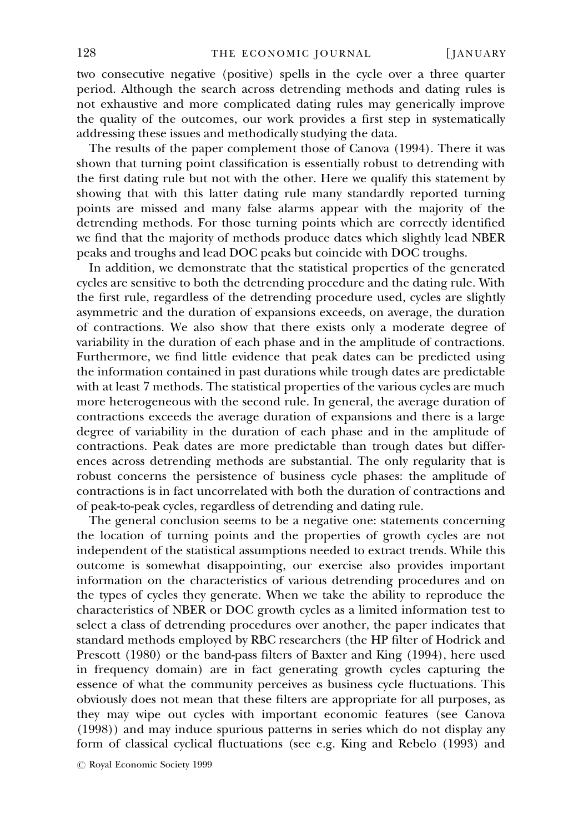two consecutive negative (positive) spells in the cycle over a three quarter period. Although the search across detrending methods and dating rules is not exhaustive and more complicated dating rules may generically improve the quality of the outcomes, our work provides a first step in systematically addressing these issues and methodically studying the data.

The results of the paper complement those of Canova (1994). There it was shown that turning point classification is essentially robust to detrending with the first dating rule but not with the other. Here we qualify this statement by showing that with this latter dating rule many standardly reported turning points are missed and many false alarms appear with the majority of the detrending methods. For those turning points which are correctly identified we find that the majority of methods produce dates which slightly lead NBER peaks and troughs and lead DOC peaks but coincide with DOC troughs.

In addition, we demonstrate that the statistical properties of the generated cycles are sensitive to both the detrending procedure and the dating rule. With the first rule, regardless of the detrending procedure used, cycles are slightly asymmetric and the duration of expansions exceeds, on average, the duration of contractions. We also show that there exists only a moderate degree of variability in the duration of each phase and in the amplitude of contractions. Furthermore, we find little evidence that peak dates can be predicted using the information contained in past durations while trough dates are predictable with at least 7 methods. The statistical properties of the various cycles are much more heterogeneous with the second rule. In general, the average duration of contractions exceeds the average duration of expansions and there is a large degree of variability in the duration of each phase and in the amplitude of contractions. Peak dates are more predictable than trough dates but differences across detrending methods are substantial. The only regularity that is robust concerns the persistence of business cycle phases: the amplitude of contractions is in fact uncorrelated with both the duration of contractions and of peak-to-peak cycles, regardless of detrending and dating rule.

The general conclusion seems to be a negative one: statements concerning the location of turning points and the properties of growth cycles are not independent of the statistical assumptions needed to extract trends. While this outcome is somewhat disappointing, our exercise also provides important information on the characteristics of various detrending procedures and on the types of cycles they generate. When we take the ability to reproduce the characteristics of NBER or DOC growth cycles as a limited information test to select a class of detrending procedures over another, the paper indicates that standard methods employed by RBC researchers (the HP filter of Hodrick and Prescott (1980) or the band-pass filters of Baxter and King (1994), here used in frequency domain) are in fact generating growth cycles capturing the essence of what the community perceives as business cycle fluctuations. This obviously does not mean that these filters are appropriate for all purposes, as they may wipe out cycles with important economic features (see Canova (1998)) and may induce spurious patterns in series which do not display any form of classical cyclical fluctuations (see e.g. King and Rebelo (1993) and

 $\oslash$  Royal Economic Society 1999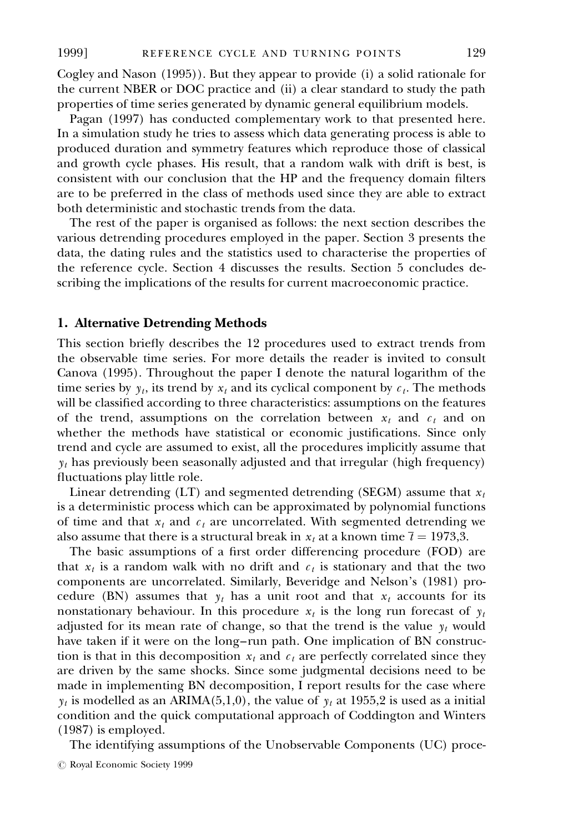Cogley and Nason (1995)). But they appear to provide (i) a solid rationale for the current NBER or DOC practice and (ii) a clear standard to study the path properties of time series generated by dynamic general equilibrium models.

Pagan (1997) has conducted complementary work to that presented here. In a simulation study he tries to assess which data generating process is able to produced duration and symmetry features which reproduce those of classical and growth cycle phases. His result, that a random walk with drift is best, is consistent with our conclusion that the HP and the frequency domain filters are to be preferred in the class of methods used since they are able to extract both deterministic and stochastic trends from the data.

The rest of the paper is organised as follows: the next section describes the various detrending procedures employed in the paper. Section 3 presents the data, the dating rules and the statistics used to characterise the properties of the reference cycle. Section 4 discusses the results. Section 5 concludes describing the implications of the results for current macroeconomic practice.

### 1. Alternative Detrending Methods

This section briefly describes the 12 procedures used to extract trends from the observable time series. For more details the reader is invited to consult Canova (1995). Throughout the paper I denote the natural logarithm of the time series by  $y_t$ , its trend by  $x_t$  and its cyclical component by  $c_t$ . The methods will be classified according to three characteristics: assumptions on the features of the trend, assumptions on the correlation between  $x_t$  and  $c_t$  and on whether the methods have statistical or economic justifications. Since only trend and cycle are assumed to exist, all the procedures implicitly assume that  $y_t$  has previously been seasonally adjusted and that irregular (high frequency) fluctuations play little role.

Linear detrending (LT) and segmented detrending (SEGM) assume that  $x_t$ is a deterministic process which can be approximated by polynomial functions of time and that  $x_t$  and  $c_t$  are uncorrelated. With segmented detrending we also assume that there is a structural break in  $x_t$  at a known time  $\bar{t} = 1973.3$ .

The basic assumptions of a first order differencing procedure (FOD) are that  $x_t$  is a random walk with no drift and  $c_t$  is stationary and that the two components are uncorrelated. Similarly, Beveridge and Nelson's (1981) procedure (BN) assumes that  $y_t$  has a unit root and that  $x_t$  accounts for its nonstationary behaviour. In this procedure  $x_t$  is the long run forecast of  $y_t$ adjusted for its mean rate of change, so that the trend is the value  $y_t$  would have taken if it were on the long-run path. One implication of BN construction is that in this decomposition  $x_t$  and  $c_t$  are perfectly correlated since they are driven by the same shocks. Since some judgmental decisions need to be made in implementing BN decomposition, I report results for the case where  $y_t$  is modelled as an ARIMA(5,1,0), the value of  $y_t$  at 1955,2 is used as a initial condition and the quick computational approach of Coddington and Winters (1987) is employed.

The identifying assumptions of the Unobservable Components (UC) proce-

 $\oslash$  Royal Economic Society 1999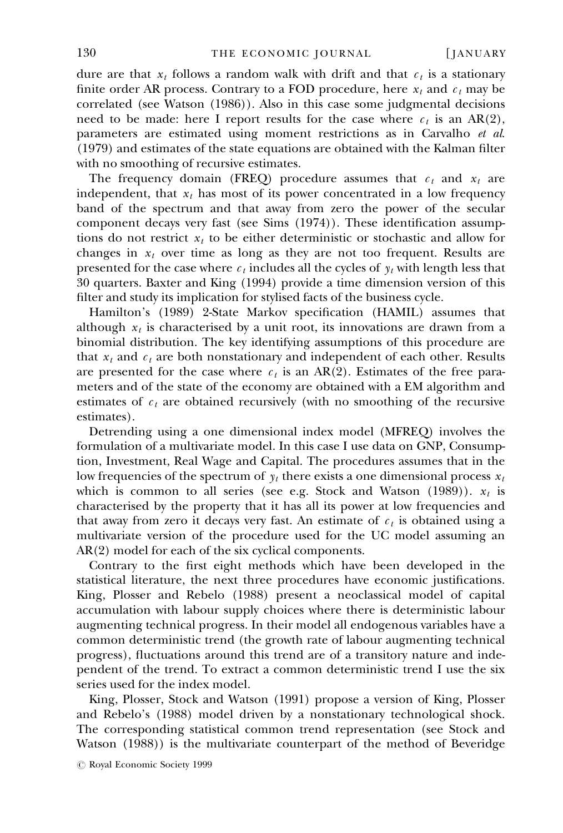dure are that  $x_t$  follows a random walk with drift and that  $c_t$  is a stationary finite order AR process. Contrary to a FOD procedure, here  $x_t$  and  $c_t$  may be correlated (see Watson (1986)). Also in this case some judgmental decisions need to be made: here I report results for the case where  $c_t$  is an AR(2), parameters are estimated using moment restrictions as in Carvalho et al.  $(1979)$  and estimates of the state equations are obtained with the Kalman filter with no smoothing of recursive estimates.

The frequency domain (FREQ) procedure assumes that  $c_t$  and  $x_t$  are independent, that  $x_t$  has most of its power concentrated in a low frequency band of the spectrum and that away from zero the power of the secular component decays very fast (see Sims  $(1974)$ ). These identification assumptions do not restrict  $x_t$  to be either deterministic or stochastic and allow for changes in  $x_t$  over time as long as they are not too frequent. Results are presented for the case where  $c_t$  includes all the cycles of  $y_t$  with length less that 30 quarters. Baxter and King (1994) provide a time dimension version of this filter and study its implication for stylised facts of the business cycle.

Hamilton's (1989) 2-State Markov specification (HAMIL) assumes that although  $x_t$  is characterised by a unit root, its innovations are drawn from a binomial distribution. The key identifying assumptions of this procedure are that  $x_t$  and  $c_t$  are both nonstationary and independent of each other. Results are presented for the case where  $c_t$  is an AR(2). Estimates of the free parameters and of the state of the economy are obtained with a EM algorithm and estimates of  $c_t$  are obtained recursively (with no smoothing of the recursive estimates).

Detrending using a one dimensional index model (MFREQ) involves the formulation of a multivariate model. In this case I use data on GNP, Consumption, Investment, Real Wage and Capital. The procedures assumes that in the low frequencies of the spectrum of  $y_t$  there exists a one dimensional process  $x_t$ which is common to all series (see e.g. Stock and Watson (1989)).  $x_t$  is characterised by the property that it has all its power at low frequencies and that away from zero it decays very fast. An estimate of  $c_t$  is obtained using a multivariate version of the procedure used for the UC model assuming an AR(2) model for each of the six cyclical components.

Contrary to the first eight methods which have been developed in the statistical literature, the next three procedures have economic justifications. King, Plosser and Rebelo (1988) present a neoclassical model of capital accumulation with labour supply choices where there is deterministic labour augmenting technical progress. In their model all endogenous variables have a common deterministic trend (the growth rate of labour augmenting technical progress), fluctuations around this trend are of a transitory nature and independent of the trend. To extract a common deterministic trend I use the six series used for the index model.

King, Plosser, Stock and Watson (1991) propose a version of King, Plosser and Rebelo's (1988) model driven by a nonstationary technological shock. The corresponding statistical common trend representation (see Stock and Watson (1988)) is the multivariate counterpart of the method of Beveridge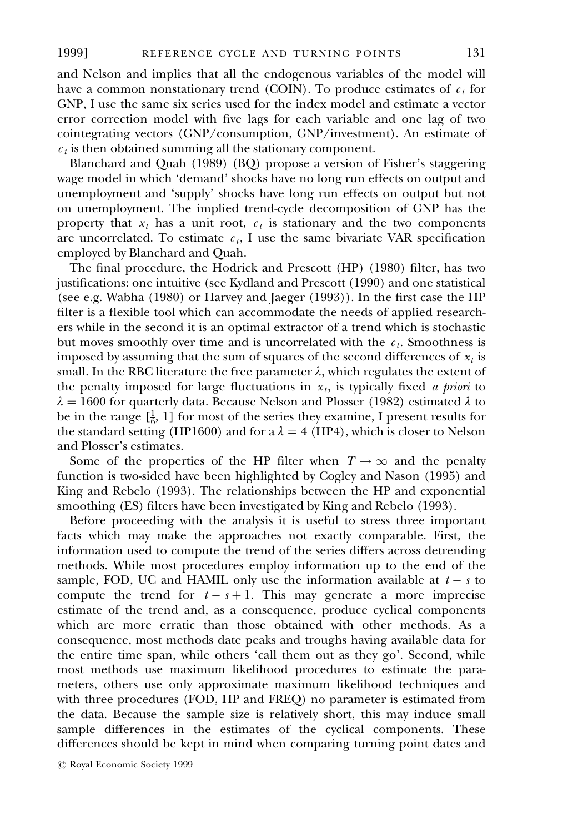and Nelson and implies that all the endogenous variables of the model will have a common nonstationary trend (COIN). To produce estimates of  $c_t$  for GNP, I use the same six series used for the index model and estimate a vector error correction model with five lags for each variable and one lag of two cointegrating vectors (GNP/consumption, GNP/investment). An estimate of  $c_t$  is then obtained summing all the stationary component.

Blanchard and Quah (1989) (BQ) propose a version of Fisher's staggering wage model in which `demand' shocks have no long run effects on output and unemployment and `supply' shocks have long run effects on output but not on unemployment. The implied trend-cycle decomposition of GNP has the property that  $x_t$  has a unit root,  $c_t$  is stationary and the two components are uncorrelated. To estimate  $c_t$ , I use the same bivariate VAR specification employed by Blanchard and Quah.

The final procedure, the Hodrick and Prescott (HP) (1980) filter, has two justifications: one intuitive (see Kydland and Prescott (1990) and one statistical (see e.g. Wabha  $(1980)$  or Harvey and Jaeger  $(1993)$ ). In the first case the HP filter is a flexible tool which can accommodate the needs of applied researchers while in the second it is an optimal extractor of a trend which is stochastic but moves smoothly over time and is uncorrelated with the  $c_t$ . Smoothness is imposed by assuming that the sum of squares of the second differences of  $x_t$  is small. In the RBC literature the free parameter  $\lambda$ , which regulates the extent of the penalty imposed for large fluctuations in  $x_t$ , is typically fixed a priori to  $\lambda = 1600$  for quarterly data. Because Nelson and Plosser (1982) estimated  $\lambda$  to be in the range  $[\frac{1}{6}, 1]$  for most of the series they examine, I present results for the standard setting (HP1600) and for a  $\lambda = 4$  (HP4), which is closer to Nelson and Plosser's estimates.

Some of the properties of the HP filter when  $T \to \infty$  and the penalty function is two-sided have been highlighted by Cogley and Nason (1995) and King and Rebelo (1993). The relationships between the HP and exponential smoothing (ES) filters have been investigated by King and Rebelo (1993).

Before proceeding with the analysis it is useful to stress three important facts which may make the approaches not exactly comparable. First, the information used to compute the trend of the series differs across detrending methods. While most procedures employ information up to the end of the sample, FOD, UC and HAMIL only use the information available at  $t - s$  to compute the trend for  $t - s + 1$ . This may generate a more imprecise estimate of the trend and, as a consequence, produce cyclical components which are more erratic than those obtained with other methods. As a consequence, most methods date peaks and troughs having available data for the entire time span, while others `call them out as they go'. Second, while most methods use maximum likelihood procedures to estimate the parameters, others use only approximate maximum likelihood techniques and with three procedures (FOD, HP and FREQ) no parameter is estimated from the data. Because the sample size is relatively short, this may induce small sample differences in the estimates of the cyclical components. These differences should be kept in mind when comparing turning point dates and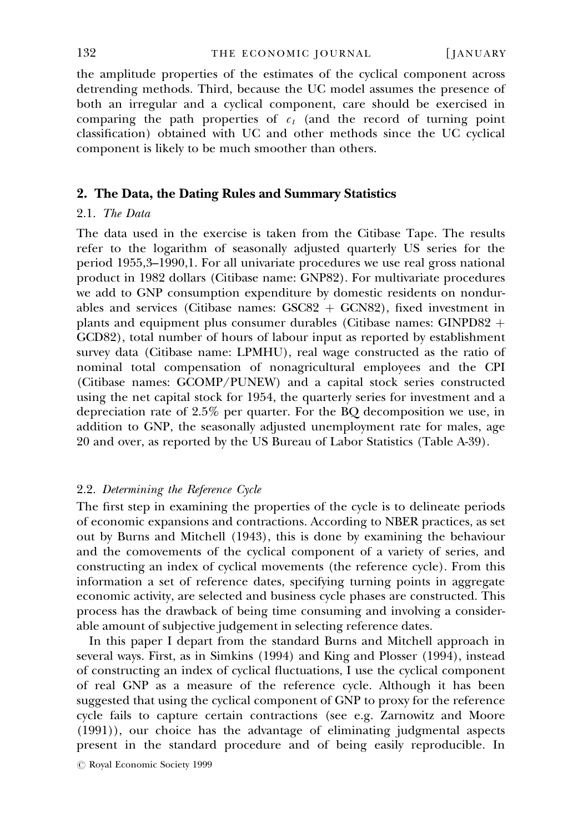the amplitude properties of the estimates of the cyclical component across detrending methods. Third, because the UC model assumes the presence of both an irregular and a cyclical component, care should be exercised in comparing the path properties of  $c_t$  (and the record of turning point classification) obtained with UC and other methods since the UC cyclical component is likely to be much smoother than others.

### 2. The Data, the Dating Rules and Summary Statistics

### 2.1. The Data

The data used in the exercise is taken from the Citibase Tape. The results refer to the logarithm of seasonally adjusted quarterly US series for the period 1955,3±1990,1. For all univariate procedures we use real gross national product in 1982 dollars (Citibase name: GNP82). For multivariate procedures we add to GNP consumption expenditure by domestic residents on nondurables and services (Citibase names:  $GSC82 + GCN82$ ), fixed investment in plants and equipment plus consumer durables (Citibase names: GINPD82 GCD82), total number of hours of labour input as reported by establishment survey data (Citibase name: LPMHU), real wage constructed as the ratio of nominal total compensation of nonagricultural employees and the CPI (Citibase names: GCOMP/PUNEW) and a capital stock series constructed using the net capital stock for 1954, the quarterly series for investment and a depreciation rate of 2.5% per quarter. For the BQ decomposition we use, in addition to GNP, the seasonally adjusted unemployment rate for males, age 20 and over, as reported by the US Bureau of Labor Statistics (Table A-39).

### 2.2. Determining the Reference Cycle

The first step in examining the properties of the cycle is to delineate periods of economic expansions and contractions. According to NBER practices, as set out by Burns and Mitchell (1943), this is done by examining the behaviour and the comovements of the cyclical component of a variety of series, and constructing an index of cyclical movements (the reference cycle). From this information a set of reference dates, specifying turning points in aggregate economic activity, are selected and business cycle phases are constructed. This process has the drawback of being time consuming and involving a considerable amount of subjective judgement in selecting reference dates.

In this paper I depart from the standard Burns and Mitchell approach in several ways. First, as in Simkins (1994) and King and Plosser (1994), instead of constructing an index of cyclical fluctuations, I use the cyclical component of real GNP as a measure of the reference cycle. Although it has been suggested that using the cyclical component of GNP to proxy for the reference cycle fails to capture certain contractions (see e.g. Zarnowitz and Moore (1991)), our choice has the advantage of eliminating judgmental aspects present in the standard procedure and of being easily reproducible. In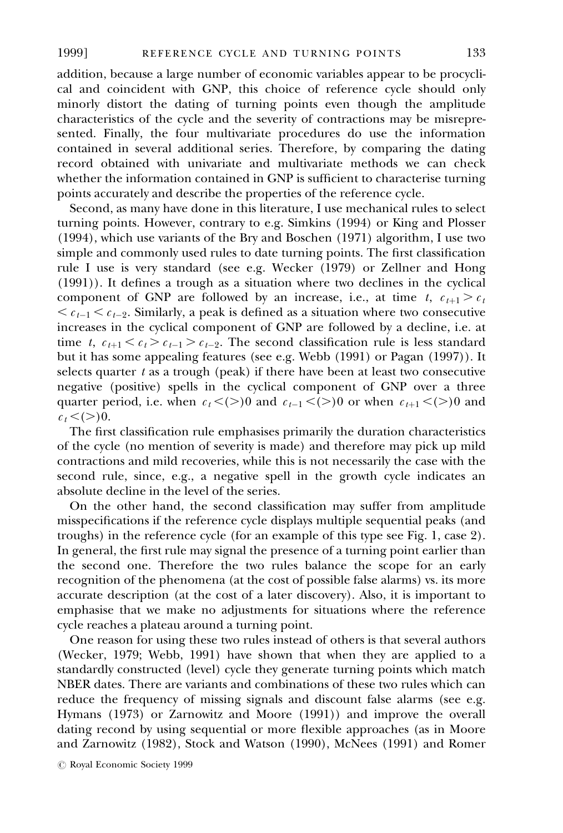addition, because a large number of economic variables appear to be procyclical and coincident with GNP, this choice of reference cycle should only minorly distort the dating of turning points even though the amplitude characteristics of the cycle and the severity of contractions may be misrepresented. Finally, the four multivariate procedures do use the information contained in several additional series. Therefore, by comparing the dating record obtained with univariate and multivariate methods we can check whether the information contained in GNP is sufficient to characterise turning points accurately and describe the properties of the reference cycle.

Second, as many have done in this literature, I use mechanical rules to select turning points. However, contrary to e.g. Simkins (1994) or King and Plosser (1994), which use variants of the Bry and Boschen (1971) algorithm, I use two simple and commonly used rules to date turning points. The first classification rule I use is very standard (see e.g. Wecker (1979) or Zellner and Hong  $(1991)$ ). It defines a trough as a situation where two declines in the cyclical component of GNP are followed by an increase, i.e., at time t,  $c_{t+1} > c_t$  $\langle c_{t-1} \rangle \langle c_{t-2} \rangle$ . Similarly, a peak is defined as a situation where two consecutive increases in the cyclical component of GNP are followed by a decline, i.e. at time t,  $c_{t+1} < c_t > c_{t-1} > c_{t-2}$ . The second classification rule is less standard but it has some appealing features (see e.g. Webb (1991) or Pagan (1997)). It selects quarter  $t$  as a trough (peak) if there have been at least two consecutive negative (positive) spells in the cyclical component of GNP over a three quarter period, i.e. when  $c_t \leq (>)0$  and  $c_{t-1} \leq (>)0$  or when  $c_{t+1} \leq (>)0$  and  $c_t \leq (>)0.$ 

The first classification rule emphasises primarily the duration characteristics of the cycle (no mention of severity is made) and therefore may pick up mild contractions and mild recoveries, while this is not necessarily the case with the second rule, since, e.g., a negative spell in the growth cycle indicates an absolute decline in the level of the series.

On the other hand, the second classification may suffer from amplitude misspecifications if the reference cycle displays multiple sequential peaks (and troughs) in the reference cycle (for an example of this type see Fig. 1, case 2). In general, the first rule may signal the presence of a turning point earlier than the second one. Therefore the two rules balance the scope for an early recognition of the phenomena (at the cost of possible false alarms) vs. its more accurate description (at the cost of a later discovery). Also, it is important to emphasise that we make no adjustments for situations where the reference cycle reaches a plateau around a turning point.

One reason for using these two rules instead of others is that several authors (Wecker, 1979; Webb, 1991) have shown that when they are applied to a standardly constructed (level) cycle they generate turning points which match NBER dates. There are variants and combinations of these two rules which can reduce the frequency of missing signals and discount false alarms (see e.g. Hymans (1973) or Zarnowitz and Moore (1991)) and improve the overall dating recond by using sequential or more flexible approaches (as in Moore and Zarnowitz (1982), Stock and Watson (1990), McNees (1991) and Romer

 $\oslash$  Royal Economic Society 1999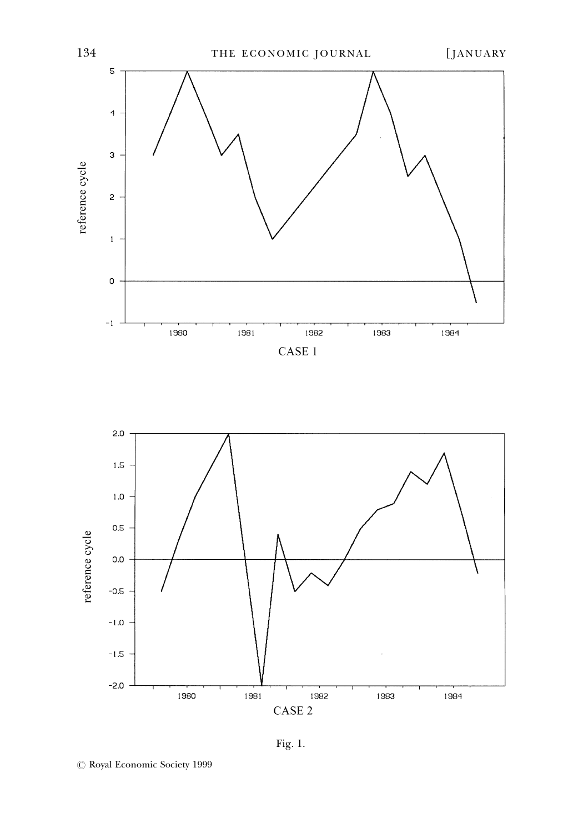



Fig. 1.

 $\oslash$  Royal Economic Society 1999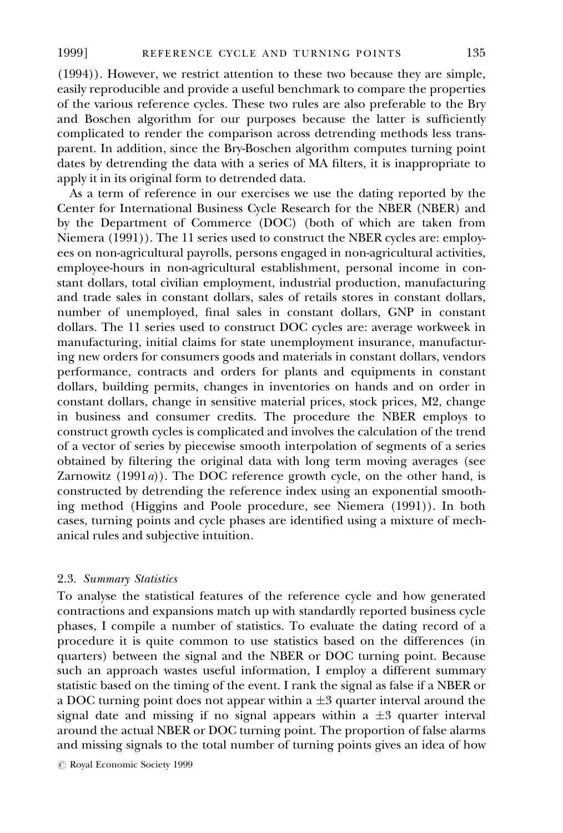apply it in its original form to detrended data.

(1994)). However, we restrict attention to these two because they are simple, easily reproducible and provide a useful benchmark to compare the properties of the various reference cycles. These two rules are also preferable to the Bry and Boschen algorithm for our purposes because the latter is sufficiently complicated to render the comparison across detrending methods less transparent. In addition, since the Bry-Boschen algorithm computes turning point dates by detrending the data with a series of MA filters, it is inappropriate to

As a term of reference in our exercises we use the dating reported by the Center for International Business Cycle Research for the NBER (NBER) and by the Department of Commerce (DOC) (both of which are taken from Niemera (1991)). The 11 series used to construct the NBER cycles are: employees on non-agricultural payrolls, persons engaged in non-agricultural activities, employee-hours in non-agricultural establishment, personal income in constant dollars, total civilian employment, industrial production, manufacturing and trade sales in constant dollars, sales of retails stores in constant dollars, number of unemployed, final sales in constant dollars, GNP in constant dollars. The 11 series used to construct DOC cycles are: average workweek in manufacturing, initial claims for state unemployment insurance, manufacturing new orders for consumers goods and materials in constant dollars, vendors performance, contracts and orders for plants and equipments in constant dollars, building permits, changes in inventories on hands and on order in constant dollars, change in sensitive material prices, stock prices, M2, change in business and consumer credits. The procedure the NBER employs to construct growth cycles is complicated and involves the calculation of the trend of a vector of series by piecewise smooth interpolation of segments of a series obtained by filtering the original data with long term moving averages (see Zarnowitz  $(1991a)$ ). The DOC reference growth cycle, on the other hand, is constructed by detrending the reference index using an exponential smoothing method (Higgins and Poole procedure, see Niemera (1991)). In both cases, turning points and cycle phases are identified using a mixture of mechanical rules and subjective intuition.

### 2.3. Summary Statistics

To analyse the statistical features of the reference cycle and how generated contractions and expansions match up with standardly reported business cycle phases, I compile a number of statistics. To evaluate the dating record of a procedure it is quite common to use statistics based on the differences (in quarters) between the signal and the NBER or DOC turning point. Because such an approach wastes useful information, I employ a different summary statistic based on the timing of the event. I rank the signal as false if a NBER or a DOC turning point does not appear within a  $\pm 3$  quarter interval around the signal date and missing if no signal appears within a  $\pm 3$  quarter interval around the actual NBER or DOC turning point. The proportion of false alarms and missing signals to the total number of turning points gives an idea of how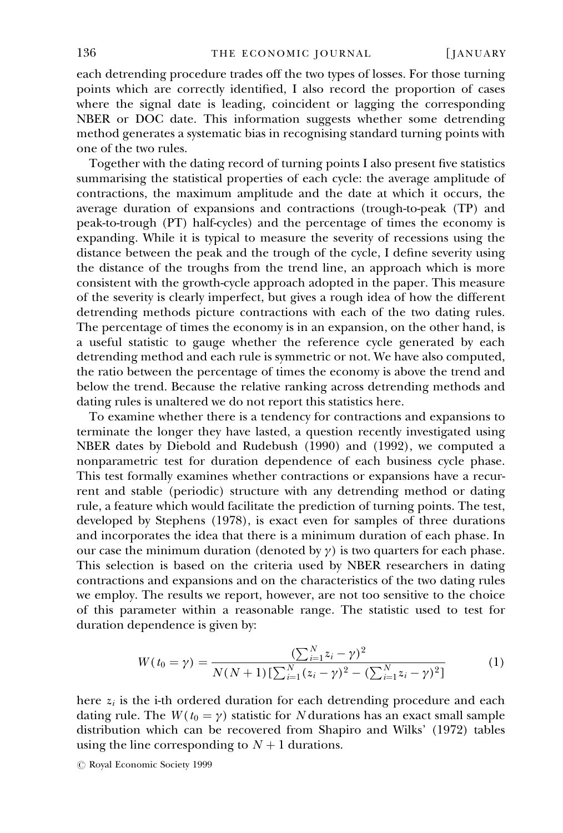each detrending procedure trades off the two types of losses. For those turning points which are correctly identified, I also record the proportion of cases where the signal date is leading, coincident or lagging the corresponding NBER or DOC date. This information suggests whether some detrending method generates a systematic bias in recognising standard turning points with one of the two rules.

Together with the dating record of turning points I also present five statistics summarising the statistical properties of each cycle: the average amplitude of contractions, the maximum amplitude and the date at which it occurs, the average duration of expansions and contractions (trough-to-peak (TP) and peak-to-trough (PT) half-cycles) and the percentage of times the economy is expanding. While it is typical to measure the severity of recessions using the distance between the peak and the trough of the cycle, I define severity using the distance of the troughs from the trend line, an approach which is more consistent with the growth-cycle approach adopted in the paper. This measure of the severity is clearly imperfect, but gives a rough idea of how the different detrending methods picture contractions with each of the two dating rules. The percentage of times the economy is in an expansion, on the other hand, is a useful statistic to gauge whether the reference cycle generated by each detrending method and each rule is symmetric or not. We have also computed, the ratio between the percentage of times the economy is above the trend and below the trend. Because the relative ranking across detrending methods and dating rules is unaltered we do not report this statistics here.

To examine whether there is a tendency for contractions and expansions to terminate the longer they have lasted, a question recently investigated using NBER dates by Diebold and Rudebush (1990) and (1992), we computed a nonparametric test for duration dependence of each business cycle phase. This test formally examines whether contractions or expansions have a recurrent and stable (periodic) structure with any detrending method or dating rule, a feature which would facilitate the prediction of turning points. The test, developed by Stephens (1978), is exact even for samples of three durations and incorporates the idea that there is a minimum duration of each phase. In our case the minimum duration (denoted by  $\gamma$ ) is two quarters for each phase. This selection is based on the criteria used by NBER researchers in dating contractions and expansions and on the characteristics of the two dating rules we employ. The results we report, however, are not too sensitive to the choice of this parameter within a reasonable range. The statistic used to test for duration dependence is given by:

$$
W(t_0 = \gamma) = \frac{\left(\sum_{i=1}^N z_i - \gamma\right)^2}{N(N+1)\left[\sum_{i=1}^N (z_i - \gamma)^2 - \left(\sum_{i=1}^N z_i - \gamma\right)^2\right]}
$$
(1)

here  $z_i$  is the i-th ordered duration for each detrending procedure and each dating rule. The  $W(t_0 = \gamma)$  statistic for N durations has an exact small sample distribution which can be recovered from Shapiro and Wilks' (1972) tables using the line corresponding to  $N + 1$  durations.

 $\oslash$  Royal Economic Society 1999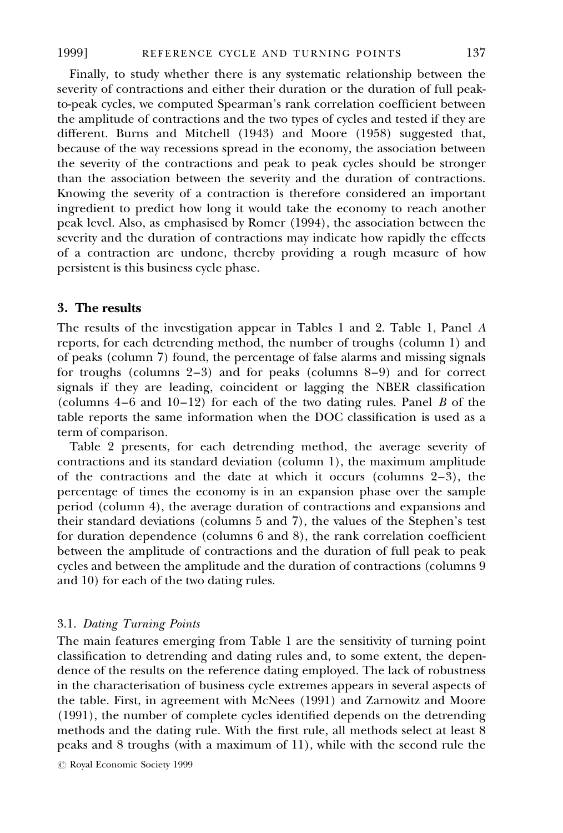Finally, to study whether there is any systematic relationship between the severity of contractions and either their duration or the duration of full peakto-peak cycles, we computed Spearman's rank correlation coefficient between the amplitude of contractions and the two types of cycles and tested if they are different. Burns and Mitchell (1943) and Moore (1958) suggested that, because of the way recessions spread in the economy, the association between the severity of the contractions and peak to peak cycles should be stronger than the association between the severity and the duration of contractions. Knowing the severity of a contraction is therefore considered an important ingredient to predict how long it would take the economy to reach another peak level. Also, as emphasised by Romer (1994), the association between the severity and the duration of contractions may indicate how rapidly the effects of a contraction are undone, thereby providing a rough measure of how persistent is this business cycle phase.

### 3. The results

The results of the investigation appear in Tables 1 and 2. Table 1, Panel A reports, for each detrending method, the number of troughs (column 1) and of peaks (column 7) found, the percentage of false alarms and missing signals for troughs (columns  $2-3$ ) and for peaks (columns  $8-9$ ) and for correct signals if they are leading, coincident or lagging the NBER classification (columns  $4-6$  and  $10-12$ ) for each of the two dating rules. Panel B of the table reports the same information when the DOC classification is used as a term of comparison.

Table 2 presents, for each detrending method, the average severity of contractions and its standard deviation (column 1), the maximum amplitude of the contractions and the date at which it occurs (columns  $2-3$ ), the percentage of times the economy is in an expansion phase over the sample period (column 4), the average duration of contractions and expansions and their standard deviations (columns 5 and 7), the values of the Stephen's test for duration dependence (columns  $6$  and  $8$ ), the rank correlation coefficient between the amplitude of contractions and the duration of full peak to peak cycles and between the amplitude and the duration of contractions (columns 9 and 10) for each of the two dating rules.

#### 3.1. Dating Turning Points

The main features emerging from Table 1 are the sensitivity of turning point classification to detrending and dating rules and, to some extent, the dependence of the results on the reference dating employed. The lack of robustness in the characterisation of business cycle extremes appears in several aspects of the table. First, in agreement with McNees (1991) and Zarnowitz and Moore (1991), the number of complete cycles identified depends on the detrending methods and the dating rule. With the first rule, all methods select at least 8 peaks and 8 troughs (with a maximum of 11), while with the second rule the

 $\oslash$  Royal Economic Society 1999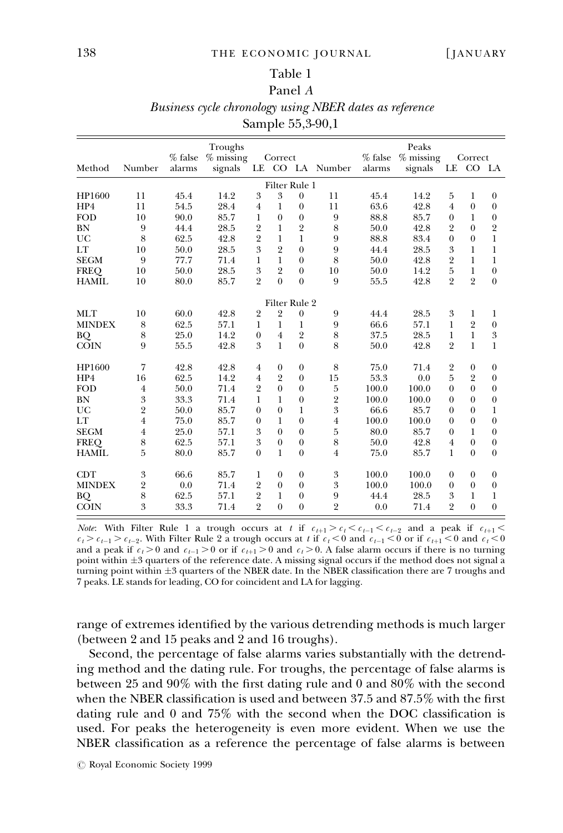### Table 1

#### Panel A

### Business cycle chronology using NBER dates as reference Sample 55,3-90,1

|               |                |           | Troughs     |                |                |                  |                |           | Peaks       |                |                |                |
|---------------|----------------|-----------|-------------|----------------|----------------|------------------|----------------|-----------|-------------|----------------|----------------|----------------|
|               |                | $%$ false | $%$ missing |                | Correct        |                  |                | $%$ false | $%$ missing |                | Correct        |                |
| Method        | Number         | alarms    | signals     | LE             |                |                  | CO LA Number   | alarms    | signals     |                | LE CO          | LA             |
|               |                |           |             |                | Filter Rule 1  |                  |                |           |             |                |                |                |
| HP1600        | 11             | 45.4      | 14.2        | 3              | 3              | $\theta$         | 11             | 45.4      | 14.2        | 5              | 1              | $\mathbf{0}$   |
| HP4           | 11             | 54.5      | 28.4        | $\overline{4}$ | $\mathbf{1}$   | $\theta$         | 11             | 63.6      | 42.8        | $\overline{4}$ | $\theta$       | $\overline{0}$ |
| FOD           | 10             | 90.0      | 85.7        | 1              | $\theta$       | $\theta$         | 9              | 88.8      | 85.7        | $\theta$       | 1              | $\overline{0}$ |
| <b>BN</b>     | 9              | 44.4      | 28.5        | $\overline{2}$ | $\mathbf{I}$   | $\overline{2}$   | 8              | 50.0      | 42.8        | $\overline{2}$ | $\Omega$       | $\overline{2}$ |
| <b>UC</b>     | 8              | 62.5      | 42.8        | $\overline{2}$ | 1              | 1                | 9              | 88.8      | 83.4        | $\Omega$       | $\Omega$       | 1              |
| LT            | 10             | 50.0      | 28.5        | 3              | $\overline{2}$ | $\theta$         | 9              | 44.4      | 28.5        | 3              | 1              | 1              |
| <b>SEGM</b>   | 9              | 77.7      | 71.4        | 1              | 1              | $\theta$         | 8              | 50.0      | 42.8        | $\overline{2}$ | 1              | 1              |
| <b>FREQ</b>   | 10             | 50.0      | 28.5        | 3              | $\overline{2}$ | $\theta$         | 10             | 50.0      | 14.2        | 5              | 1              | $\overline{0}$ |
| <b>HAMIL</b>  | 10             | 80.0      | 85.7        | $\overline{2}$ | $\theta$       | $\theta$         | 9              | 55.5      | 42.8        | $\overline{2}$ | $\overline{2}$ | $\theta$       |
| Filter Rule 2 |                |           |             |                |                |                  |                |           |             |                |                |                |
| <b>MLT</b>    | 10             | 60.0      | 42.8        | $\overline{2}$ | $\overline{2}$ | $\theta$         | 9              | 44.4      | 28.5        | 3              | $\mathbf{1}$   | 1              |
| <b>MINDEX</b> | 8              | 62.5      | 57.1        | 1              | $\mathbf{1}$   | 1                | 9              | 66.6      | 57.1        | $\mathbf{1}$   | $\overline{2}$ | $\overline{0}$ |
| <b>BQ</b>     | 8              | 25.0      | 14.2        | $\theta$       | $\overline{4}$ | $\overline{2}$   | 8              | 37.5      | 28.5        | 1              | $\mathbf{1}$   | 3              |
| <b>COIN</b>   | 9              | 55.5      | 42.8        | 3              | $\mathbf{I}$   | $\Omega$         | 8              | 50.0      | 42.8        | $\overline{2}$ | 1              | $\mathbf{I}$   |
|               |                |           |             |                |                |                  |                |           |             |                |                |                |
| HP1600        | 7              | 42.8      | 42.8        | $\overline{4}$ | $\theta$       | $\theta$         | 8              | 75.0      | 71.4        | $\overline{2}$ | $\Omega$       | $\mathbf{0}$   |
| HP4           | 16             | 62.5      | 14.2        | $\overline{4}$ | $\overline{2}$ | $\boldsymbol{0}$ | 15             | 53.3      | 0.0         | 5              | $\overline{2}$ | $\mathbf{0}$   |
| FOD           | $\overline{4}$ | 50.0      | 71.4        | $\overline{2}$ | $\theta$       | $\theta$         | 5              | 100.0     | 100.0       | $\Omega$       | $\theta$       | $\overline{0}$ |
| <b>BN</b>     | 3              | 33.3      | 71.4        | 1              | 1              | $\theta$         | $\overline{2}$ | 100.0     | 100.0       | $\Omega$       | $\Omega$       | $\overline{0}$ |
| UC            | $\overline{2}$ | 50.0      | 85.7        | $\theta$       | $\theta$       | 1                | 3              | 66.6      | 85.7        | $\theta$       | $\theta$       | 1              |
| LT            | $\overline{4}$ | 75.0      | 85.7        | $\theta$       | 1              | $\theta$         | $\overline{4}$ | 100.0     | 100.0       | $\Omega$       | $\Omega$       | $\overline{0}$ |
| <b>SEGM</b>   | $\overline{4}$ | 25.0      | 57.1        | 3              | $\theta$       | $\theta$         | $\overline{5}$ | 80.0      | 85.7        | $\Omega$       | 1              | $\overline{0}$ |
| <b>FREQ</b>   | 8              | 62.5      | 57.1        | 3              | $\mathbf{0}$   | $\theta$         | 8              | 50.0      | 42.8        | $\overline{4}$ | $\theta$       | $\overline{0}$ |
| <b>HAMIL</b>  | $\overline{5}$ | 80.0      | 85.7        | $\theta$       | $\mathbf{I}$   | $\theta$         | $\overline{4}$ | 75.0      | 85.7        | 1              | $\theta$       | $\overline{0}$ |
| <b>CDT</b>    | 3              | 66.6      | 85.7        | 1              | $\mathbf{0}$   | $\theta$         | 3              | 100.0     | 100.0       | $\theta$       | $\Omega$       | $\overline{0}$ |
| <b>MINDEX</b> | $\overline{2}$ | 0.0       | 71.4        | $\overline{2}$ | $\theta$       | $\mathbf{0}$     | 3              | 100.0     | 100.0       | $\Omega$       | $\Omega$       | $\overline{0}$ |
| <b>BQ</b>     | 8              | 62.5      | 57.1        | $\overline{2}$ | 1              | $\theta$         | 9              | 44.4      | 28.5        | 3              | 1              | 1              |
| <b>COIN</b>   | 3              | 33.3      | 71.4        | $\overline{2}$ | $\theta$       | $\theta$         | $\overline{2}$ | 0.0       | 71.4        | $\overline{2}$ | $\theta$       | $\theta$       |

*Note*: With Filter Rule 1 a trough occurs at t if  $c_{t+1} > c_t < c_{t-1} < c_{t-2}$  and a peak if  $c_{t+1} < c_t$  $c_t > c_{t-1} > c_{t-2}$ . With Filter Rule 2 a trough occurs at t if  $c_t < 0$  and  $c_{t-1} < 0$  or if  $c_{t+1} < 0$  and  $c_t < 0$ and a peak if  $c_t > 0$  and  $c_{t-1} > 0$  or if  $c_{t+1} > 0$  and  $c_t > 0$ . A false alarm occurs if there is no turning point within  $\pm 3$  quarters of the reference date. A missing signal occurs if the method does not signal a turning point within  $\pm 3$  quarters of the NBER date. In the NBER classification there are 7 troughs and 7 peaks. LE stands for leading, CO for coincident and LA for lagging.

range of extremes identified by the various detrending methods is much larger (between 2 and 15 peaks and 2 and 16 troughs).

Second, the percentage of false alarms varies substantially with the detrending method and the dating rule. For troughs, the percentage of false alarms is between 25 and 90% with the first dating rule and 0 and 80% with the second when the NBER classification is used and between  $37.5$  and  $87.5\%$  with the first dating rule and 0 and  $75\%$  with the second when the DOC classification is used. For peaks the heterogeneity is even more evident. When we use the NBER classification as a reference the percentage of false alarms is between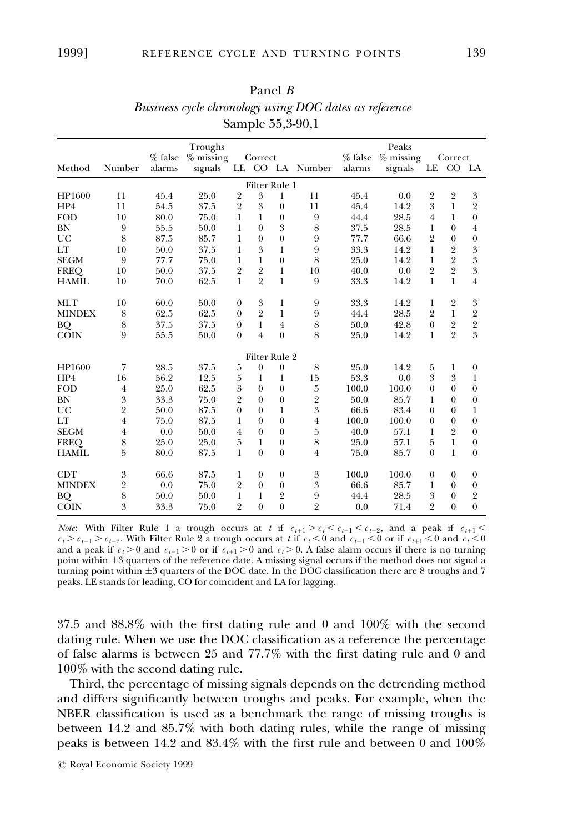|               |                | % false | Troughs<br>$%$ missing |                | Correct        |                |                 | $%$ false | Peaks                  |                | Correct        |                  |
|---------------|----------------|---------|------------------------|----------------|----------------|----------------|-----------------|-----------|------------------------|----------------|----------------|------------------|
| Method        | Number         | alarms  | signals                |                |                |                | LE CO LA Number | alarms    | $%$ missing<br>signals |                | LE CO LA       |                  |
|               |                |         |                        |                |                | Filter Rule 1  |                 |           |                        |                |                |                  |
| HP1600        | 11             | 45.4    | 25.0                   | $\overline{2}$ | 3              | 1              | 11              | 45.4      | 0.0                    | $\overline{2}$ | $\overline{2}$ | 3                |
| HP4           | 11             | 54.5    | 37.5                   | $\overline{2}$ | 3              | $\overline{0}$ | 11              | 45.4      | 14.2                   | 3              | 1              | $\overline{2}$   |
| FOD           | 10             | 80.0    | 75.0                   | 1              | $\mathbf{1}$   | $\theta$       | 9               | 44.4      | 28.5                   | $\overline{4}$ | 1              | $\boldsymbol{0}$ |
| <b>BN</b>     | 9              | 55.5    | 50.0                   | 1              | $\theta$       | 3              | 8               | 37.5      | 28.5                   | 1              | $\theta$       | $\overline{4}$   |
| UC            | 8              | 87.5    | 85.7                   | 1              | $\overline{0}$ | $\overline{0}$ | 9               | 77.7      | 66.6                   | $\overline{2}$ | $\theta$       | $\overline{0}$   |
| LT            | 10             | 50.0    | 37.5                   | 1              | 3              | $\mathbf{1}$   | 9               | 33.3      | 14.2                   | 1              | $\overline{2}$ | $\overline{3}$   |
| <b>SEGM</b>   | 9              | 77.7    | 75.0                   | 1              | $\mathbf{1}$   | $\overline{0}$ | 8               | 25.0      | 14.2                   | 1              | $\overline{2}$ | $\mathfrak{B}$   |
| <b>FREQ</b>   | 10             | 50.0    | 37.5                   | $\overline{2}$ | $\overline{2}$ | 1              | 10              | 40.0      | 0.0                    | $\overline{2}$ | $\overline{2}$ | 3                |
| <b>HAMIL</b>  | 10             | 70.0    | 62.5                   | $\mathbf{1}$   | $\overline{2}$ | $\mathbf{1}$   | 9               | 33.3      | 14.2                   | 1              | $\mathbf{I}$   | $\overline{4}$   |
|               |                |         |                        |                |                |                |                 |           |                        |                |                |                  |
| <b>MLT</b>    | 10             | 60.0    | 50.0                   | $\theta$       | 3              | 1              | 9               | 33.3      | 14.2                   | 1              | 2              | 3                |
| <b>MINDEX</b> | 8              | 62.5    | 62.5                   | $\overline{0}$ | $\overline{2}$ | 1              | 9               | 44.4      | 28.5                   | $\overline{2}$ | $\mathbf{1}$   | $\overline{2}$   |
| BQ            | 8              | 37.5    | 37.5                   | $\theta$       | 1              | $\overline{4}$ | 8               | 50.0      | 42.8                   | $\overline{0}$ | $\overline{2}$ | $\overline{2}$   |
| <b>COIN</b>   | 9              | 55.5    | 50.0                   | $\theta$       | $\overline{4}$ | $\theta$       | 8               | 25.0      | 14.2                   | 1              | $\overline{2}$ | 3                |
|               |                |         |                        |                |                | Filter Rule 2  |                 |           |                        |                |                |                  |
| HP1600        | 7              | 28.5    | 37.5                   | 5              | $\overline{0}$ | $\overline{0}$ | 8               | 25.0      | 14.2                   | 5              | 1              | $\theta$         |
| HP4           | 16             | 56.2    | 12.5                   | 5              | $\mathbf{1}$   | 1              | 15              | 53.3      | 0.0                    | 3              | 3              | 1                |
| <b>FOD</b>    | $\overline{4}$ | 25.0    | 62.5                   | 3              | $\overline{0}$ | $\overline{0}$ | $\overline{5}$  | 100.0     | 100.0                  | $\theta$       | $\Omega$       | $\overline{0}$   |
| <b>BN</b>     | 3              | 33.3    | 75.0                   | $\overline{2}$ | $\theta$       | $\theta$       | $\sqrt{2}$      | 50.0      | 85.7                   | 1              | $\theta$       | $\overline{0}$   |
| UC            | $\sqrt{2}$     | 50.0    | 87.5                   | $\theta$       | $\Omega$       | 1              | $\overline{3}$  | 66.6      | 83.4                   | $\Omega$       | $\Omega$       | 1                |
| LT            | $\overline{4}$ | 75.0    | 87.5                   | 1              | $\Omega$       | $\theta$       | $\overline{4}$  | 100.0     | 100.0                  | $\theta$       | $\theta$       | $\boldsymbol{0}$ |
| <b>SEGM</b>   | $\overline{4}$ | 0.0     | 50.0                   | $\overline{4}$ | $\theta$       | $\theta$       | $\overline{5}$  | 40.0      | 57.1                   | 1              | $\overline{2}$ | $\overline{0}$   |
| <b>FREQ</b>   | 8              | 25.0    | 25.0                   | 5              | $\mathbf{1}$   | $\theta$       | 8               | 25.0      | 57.1                   | 5              | 1              | $\theta$         |
| <b>HAMIL</b>  | 5              | 80.0    | 87.5                   | 1              | $\Omega$       | $\theta$       | $\overline{4}$  | 75.0      | 85.7                   | $\Omega$       | 1              | $\theta$         |
| <b>CDT</b>    | 3              | 66.6    | 87.5                   | 1              | $\theta$       | $\mathbf{0}$   | 3               | 100.0     | 100.0                  | $\theta$       | $\theta$       | $\theta$         |
| <b>MINDEX</b> | $\overline{2}$ | 0.0     | 75.0                   | $\overline{2}$ | $\mathbf{0}$   | $\theta$       | 3               | 66.6      | 85.7                   | 1              | $\theta$       | $\overline{0}$   |
| BQ            | 8              | 50.0    | 50.0                   | 1              | 1              | $\overline{2}$ | 9               | 44.4      | 28.5                   | 3              | $\theta$       | $\overline{2}$   |
| <b>COIN</b>   | 3              | 33.3    | 75.0                   | $\overline{2}$ | $\theta$       | $\theta$       | $\overline{2}$  | 0.0       | 71.4                   | $\overline{2}$ | $\Omega$       | $\theta$         |

| Panel B                                                |
|--------------------------------------------------------|
| Business cycle chronology using DOC dates as reference |
| Sample 55,3-90,1                                       |

*Note*: With Filter Rule 1 a trough occurs at t if  $c_{t+1} > c_t < c_{t-1} < c_{t-2}$ , and a peak if  $c_{t+1} < c_t$  $c_t > c_{t-1} > c_{t-2}$ . With Filter Rule 2 a trough occurs at t if  $c_t < 0$  and  $c_{t-1} < 0$  or if  $c_{t+1} < 0$  and  $c_t < 0$ and a peak if  $c_t > 0$  and  $c_{t-1} > 0$  or if  $c_{t+1} > 0$  and  $c_t > 0$ . A false alarm occurs if there is no turning point within  $\pm 3$  quarters of the reference date. A missing signal occurs if the method does not signal a turning point within  $\pm 3$  quarters of the DOC date. In the DOC classification there are 8 troughs and 7 peaks. LE stands for leading, CO for coincident and LA for lagging.

 $37.5$  and  $88.8\%$  with the first dating rule and 0 and 100% with the second dating rule. When we use the DOC classification as a reference the percentage of false alarms is between 25 and  $77.7\%$  with the first dating rule and 0 and 100% with the second dating rule.

Third, the percentage of missing signals depends on the detrending method and differs significantly between troughs and peaks. For example, when the NBER classification is used as a benchmark the range of missing troughs is between 14.2 and 85.7% with both dating rules, while the range of missing peaks is between 14.2 and 83.4% with the first rule and between 0 and  $100\%$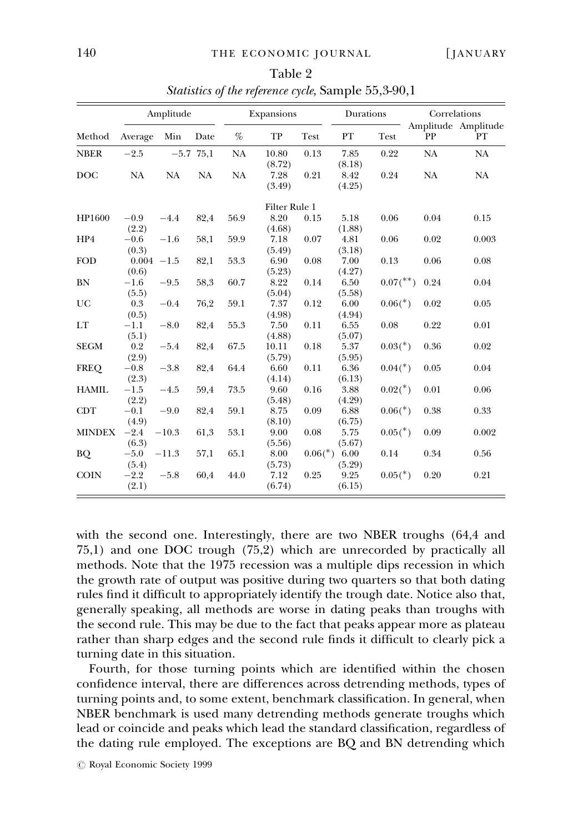| Amplitude Amplitude<br>%<br>Method<br>Min<br>TP<br><b>Test</b><br>PT<br>Test<br>PP<br>Date<br>Average<br>$-5.7$ 75,1<br>NA<br>0.13<br><b>NBER</b><br>$-2.5$<br>10.80<br>7.85<br>0.22<br>NA<br>(8.72)<br>(8.18)<br>NA<br>0.21<br><b>DOC</b><br>NA<br><b>NA</b><br>NA<br>7.28<br>8.42<br>0.24<br>NA<br>(3.49)<br>(4.25)<br>Filter Rule 1<br>82,4<br>56.9<br>5.18<br>0.04<br>HP1600<br>$-0.9$<br>$-4.4$<br>8.20<br>0.15<br>0.06<br>(2.2)<br>(4.68)<br>(1.88)<br>0.07<br>$-0.6$<br>$-1.6$<br>58,1<br>59.9<br>0.06<br>0.02<br>HP4<br>7.18<br>4.81<br>(0.3)<br>(5.49)<br>(3.18)<br>53.3<br>0.08<br>0.06<br>FOD<br>$0.004 -1.5$<br>82,1<br>6.90<br>7.00<br>0.13<br>(0.6)<br>(5.23)<br>(4.27)<br>$0.07(\substack{**\\0.02})$<br>$-9.5$<br>58.3<br>60.7<br>0.14<br>0.24<br><b>BN</b><br>$-1.6$<br>8.22<br>6.50<br>(5.04)<br>(5.5)<br>(5.58)<br>$0.06(^{*})$<br>59.1<br>UC<br>$-0.4$<br>76,2<br>7.37<br>0.12<br>6.00<br>0.02<br>0.3 | PT<br><b>NA</b><br><b>NA</b><br>0.15<br>0.003 |
|---------------------------------------------------------------------------------------------------------------------------------------------------------------------------------------------------------------------------------------------------------------------------------------------------------------------------------------------------------------------------------------------------------------------------------------------------------------------------------------------------------------------------------------------------------------------------------------------------------------------------------------------------------------------------------------------------------------------------------------------------------------------------------------------------------------------------------------------------------------------------------------------------------------------------|-----------------------------------------------|
|                                                                                                                                                                                                                                                                                                                                                                                                                                                                                                                                                                                                                                                                                                                                                                                                                                                                                                                           |                                               |
|                                                                                                                                                                                                                                                                                                                                                                                                                                                                                                                                                                                                                                                                                                                                                                                                                                                                                                                           |                                               |
|                                                                                                                                                                                                                                                                                                                                                                                                                                                                                                                                                                                                                                                                                                                                                                                                                                                                                                                           |                                               |
|                                                                                                                                                                                                                                                                                                                                                                                                                                                                                                                                                                                                                                                                                                                                                                                                                                                                                                                           |                                               |
|                                                                                                                                                                                                                                                                                                                                                                                                                                                                                                                                                                                                                                                                                                                                                                                                                                                                                                                           |                                               |
|                                                                                                                                                                                                                                                                                                                                                                                                                                                                                                                                                                                                                                                                                                                                                                                                                                                                                                                           |                                               |
|                                                                                                                                                                                                                                                                                                                                                                                                                                                                                                                                                                                                                                                                                                                                                                                                                                                                                                                           |                                               |
|                                                                                                                                                                                                                                                                                                                                                                                                                                                                                                                                                                                                                                                                                                                                                                                                                                                                                                                           |                                               |
|                                                                                                                                                                                                                                                                                                                                                                                                                                                                                                                                                                                                                                                                                                                                                                                                                                                                                                                           |                                               |
|                                                                                                                                                                                                                                                                                                                                                                                                                                                                                                                                                                                                                                                                                                                                                                                                                                                                                                                           |                                               |
|                                                                                                                                                                                                                                                                                                                                                                                                                                                                                                                                                                                                                                                                                                                                                                                                                                                                                                                           | 0.08                                          |
|                                                                                                                                                                                                                                                                                                                                                                                                                                                                                                                                                                                                                                                                                                                                                                                                                                                                                                                           |                                               |
|                                                                                                                                                                                                                                                                                                                                                                                                                                                                                                                                                                                                                                                                                                                                                                                                                                                                                                                           | 0.04                                          |
|                                                                                                                                                                                                                                                                                                                                                                                                                                                                                                                                                                                                                                                                                                                                                                                                                                                                                                                           |                                               |
|                                                                                                                                                                                                                                                                                                                                                                                                                                                                                                                                                                                                                                                                                                                                                                                                                                                                                                                           | 0.05                                          |
| (4.94)<br>(0.5)<br>(4.98)                                                                                                                                                                                                                                                                                                                                                                                                                                                                                                                                                                                                                                                                                                                                                                                                                                                                                                 |                                               |
| 82,4<br>0.11<br>LT<br>$-8.0$<br>55.3<br>7.50<br>6.55<br>0.08<br>0.22<br>$-1.1$                                                                                                                                                                                                                                                                                                                                                                                                                                                                                                                                                                                                                                                                                                                                                                                                                                            | 0.01                                          |
| (5.1)<br>(4.88)<br>(5.07)                                                                                                                                                                                                                                                                                                                                                                                                                                                                                                                                                                                                                                                                                                                                                                                                                                                                                                 |                                               |
| $0.03(^{*})$<br><b>SEGM</b><br>82,4<br>67.5<br>0.18<br>0.2<br>$-5.4$<br>5.37<br>0.36<br>10.11                                                                                                                                                                                                                                                                                                                                                                                                                                                                                                                                                                                                                                                                                                                                                                                                                             | 0.02                                          |
| (2.9)<br>(5.95)<br>(5.79)                                                                                                                                                                                                                                                                                                                                                                                                                                                                                                                                                                                                                                                                                                                                                                                                                                                                                                 |                                               |
| $-0.8$<br>$-3.8$<br>82,4<br>64.4<br>0.11<br>6.36<br>$0.04$ <sup>(*)</sup> )<br>0.05<br><b>FREO</b><br>6.60<br>(2.3)<br>(6.13)<br>(4.14)                                                                                                                                                                                                                                                                                                                                                                                                                                                                                                                                                                                                                                                                                                                                                                                   | 0.04                                          |
| 73.5<br>0.16<br>$0.02$ <sup>(*)</sup> )<br>0.01<br>59,4<br>3.88<br><b>HAMIL</b><br>$-1.5$<br>$-4.5$<br>9.60                                                                                                                                                                                                                                                                                                                                                                                                                                                                                                                                                                                                                                                                                                                                                                                                               | 0.06                                          |
| (2.2)<br>(4.29)<br>(5.48)                                                                                                                                                                                                                                                                                                                                                                                                                                                                                                                                                                                                                                                                                                                                                                                                                                                                                                 |                                               |
| $0.06(^{*})$<br>59.1<br>0.09<br>0.38<br><b>CDT</b><br>$-0.1$<br>$-9.0$<br>82,4<br>8.75<br>6.88                                                                                                                                                                                                                                                                                                                                                                                                                                                                                                                                                                                                                                                                                                                                                                                                                            | 0.33                                          |
| (6.75)<br>(4.9)<br>(8.10)                                                                                                                                                                                                                                                                                                                                                                                                                                                                                                                                                                                                                                                                                                                                                                                                                                                                                                 |                                               |
| 53.1<br>$0.05(^{*})$<br>0.08<br>5.75<br>0.09<br><b>MINDEX</b><br>$-2.4$<br>$-10.3$<br>61,3<br>9.00                                                                                                                                                                                                                                                                                                                                                                                                                                                                                                                                                                                                                                                                                                                                                                                                                        | 0.002                                         |
| (6.3)<br>(5.56)<br>(5.67)                                                                                                                                                                                                                                                                                                                                                                                                                                                                                                                                                                                                                                                                                                                                                                                                                                                                                                 |                                               |
| $0.06(^{*})$<br>65.1<br>$-11.3$<br>6.00<br>0.14<br>0.34<br><b>BQ</b><br>$-5.0$<br>57,1<br>8.00                                                                                                                                                                                                                                                                                                                                                                                                                                                                                                                                                                                                                                                                                                                                                                                                                            | 0.56                                          |
| (5.4)<br>(5.29)<br>(5.73)                                                                                                                                                                                                                                                                                                                                                                                                                                                                                                                                                                                                                                                                                                                                                                                                                                                                                                 |                                               |
| 7.12<br>0.25<br>9.25<br>$0.05(^{*})$<br>$-2.2$<br>60,4<br>44.0<br>0.20<br><b>COIN</b><br>$-5.8$                                                                                                                                                                                                                                                                                                                                                                                                                                                                                                                                                                                                                                                                                                                                                                                                                           | 0.21                                          |
| (2.1)<br>(6.74)<br>(6.15)                                                                                                                                                                                                                                                                                                                                                                                                                                                                                                                                                                                                                                                                                                                                                                                                                                                                                                 |                                               |

Table 2 Statistics of the reference cycle, Sample 55,3-90,1

with the second one. Interestingly, there are two NBER troughs (64,4 and 75,1) and one DOC trough (75,2) which are unrecorded by practically all methods. Note that the 1975 recession was a multiple dips recession in which the growth rate of output was positive during two quarters so that both dating rules find it difficult to appropriately identify the trough date. Notice also that, generally speaking, all methods are worse in dating peaks than troughs with the second rule. This may be due to the fact that peaks appear more as plateau rather than sharp edges and the second rule finds it difficult to clearly pick a turning date in this situation.

Fourth, for those turning points which are identified within the chosen confidence interval, there are differences across detrending methods, types of turning points and, to some extent, benchmark classification. In general, when NBER benchmark is used many detrending methods generate troughs which lead or coincide and peaks which lead the standard classification, regardless of the dating rule employed. The exceptions are BQ and BN detrending which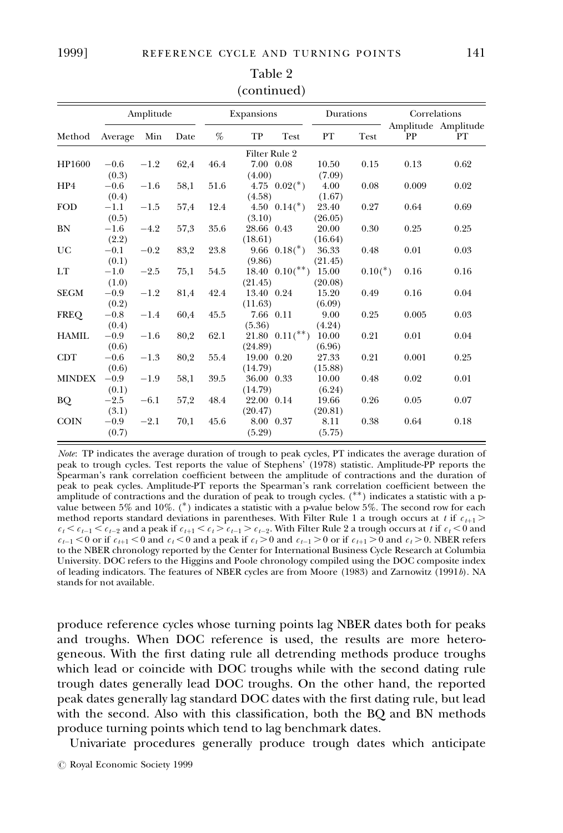|               |         | Amplitude |      | Expansions |               |                            | Durations |                       | Correlations |                           |  |
|---------------|---------|-----------|------|------------|---------------|----------------------------|-----------|-----------------------|--------------|---------------------------|--|
| Method        | Average | Min       | Date | %          | TP            | Test                       | PT        | <b>Test</b>           | PP           | Amplitude Amplitude<br>PТ |  |
|               |         |           |      |            | Filter Rule 2 |                            |           |                       |              |                           |  |
| HP1600        | $-0.6$  | $-1.2$    | 62,4 | 46.4       | 7.00 0.08     |                            | 10.50     | 0.15                  | 0.13         | 0.62                      |  |
|               | (0.3)   |           |      |            | (4.00)        |                            | (7.09)    |                       |              |                           |  |
| HP4           | $-0.6$  | $-1.6$    | 58.1 | 51.6       |               | 4.75 $0.02$ <sup>*</sup> ) | 4.00      | 0.08                  | 0.009        | 0.02                      |  |
|               | (0.4)   |           |      |            | (4.58)        |                            | (1.67)    |                       |              |                           |  |
| FOD           | $-1.1$  | $-1.5$    | 57,4 | 12.4       |               | 4.50 $0.14$ <sup>*</sup> ) | 23.40     | 0.27                  | 0.64         | 0.69                      |  |
|               | (0.5)   |           |      |            | (3.10)        |                            | (26.05)   |                       |              |                           |  |
| <b>BN</b>     | $-1.6$  | $-4.2$    | 57,3 | 35.6       | 28.66 0.43    |                            | 20.00     | 0.30                  | 0.25         | 0.25                      |  |
|               | (2.2)   |           |      |            | (18.61)       |                            | (16.64)   |                       |              |                           |  |
| UC            | $-0.1$  | $-0.2$    | 83,2 | 23.8       |               | 9.66 $0.18$ <sup>*</sup> ) | 36.33     | 0.48                  | 0.01         | 0.03                      |  |
|               | (0.1)   |           |      |            | (9.86)        |                            | (21.45)   |                       |              |                           |  |
| LT            | $-1.0$  | $-2.5$    | 75,1 | 54.5       |               | $18.40 \ \ 0.10^{**}$ )    | 15.00     | $0.10$ <sup>*</sup> ) | 0.16         | 0.16                      |  |
|               | (1.0)   |           |      |            | (21.45)       |                            | (20.08)   |                       |              |                           |  |
| <b>SEGM</b>   | $-0.9$  | $-1.2$    | 81,4 | 42.4       | 13.40 0.24    |                            | 15.20     | 0.49                  | 0.16         | 0.04                      |  |
|               | (0.2)   |           |      |            | (11.63)       |                            | (6.09)    |                       |              |                           |  |
| <b>FREQ</b>   | $-0.8$  | $-1.4$    | 60,4 | 45.5       | 7.66 0.11     |                            | 9.00      | 0.25                  | 0.005        | 0.03                      |  |
|               | (0.4)   |           |      |            | (5.36)        |                            | (4.24)    |                       |              |                           |  |
| <b>HAMIL</b>  | $-0.9$  | $-1.6$    | 80,2 | 62.1       |               | $21.80 \quad 0.11^{**}$ )  | 10.00     | 0.21                  | 0.01         | 0.04                      |  |
|               | (0.6)   |           |      |            | (24.89)       |                            | (6.96)    |                       |              |                           |  |
| <b>CDT</b>    | $-0.6$  | $-1.3$    | 80,2 | 55.4       | 19.00 0.20    |                            | 27.33     | 0.21                  | 0.001        | 0.25                      |  |
|               | (0.6)   |           |      |            | (14.79)       |                            | (15.88)   |                       |              |                           |  |
| <b>MINDEX</b> | $-0.9$  | $-1.9$    | 58,1 | 39.5       | 36.00 0.33    |                            | 10.00     | 0.48                  | 0.02         | 0.01                      |  |
|               | (0.1)   |           |      |            | (14.79)       |                            | (6.24)    |                       |              |                           |  |
| BQ.           | $-2.5$  | $-6.1$    | 57,2 | 48.4       | 22.00 0.14    |                            | 19.66     | 0.26                  | 0.05         | 0.07                      |  |
|               | (3.1)   |           |      |            | (20.47)       |                            | (20.81)   |                       |              |                           |  |
| <b>COIN</b>   | $-0.9$  | $-2.1$    | 70,1 | 45.6       | 8.00 0.37     |                            | 8.11      | 0.38                  | 0.64         | 0.18                      |  |
|               | (0.7)   |           |      |            | (5.29)        |                            | (5.75)    |                       |              |                           |  |
|               |         |           |      |            |               |                            |           |                       |              |                           |  |

Table 2 (continued)

Note: TP indicates the average duration of trough to peak cycles, PT indicates the average duration of peak to trough cycles. Test reports the value of Stephens' (1978) statistic. Amplitude-PP reports the Spearman's rank correlation coefficient between the amplitude of contractions and the duration of peak to peak cycles. Amplitude-PT reports the Spearman's rank correlation coefficient between the amplitude of contractions and the duration of peak to trough cycles.  $(**)$  indicates a statistic with a pvalue between 5% and 10%. (\*) indicates a statistic with a p-value below 5%. The second row for each method reports standard deviations in parentheses. With Filter Rule 1 a trough occurs at t if  $c_{t+1}$  >  $c_t < c_{t-1} < c_{t-2}$  and a peak if  $c_{t+1} < c_t > c_{t-1} > c_{t-2}$ . With Filter Rule 2 a trough occurs at t if  $c_t < 0$  and  $c_{t-1}$  < 0 or if  $c_{t+1}$  < 0 and  $c_t$  < 0 and a peak if  $c_t > 0$  and  $c_{t-1} > 0$  or if  $c_{t+1} > 0$  and  $c_t > 0$ . NBER refers to the NBER chronology reported by the Center for International Business Cycle Research at Columbia University. DOC refers to the Higgins and Poole chronology compiled using the DOC composite index of leading indicators. The features of NBER cycles are from Moore (1983) and Zarnowitz (1991b). NA stands for not available.

produce reference cycles whose turning points lag NBER dates both for peaks and troughs. When DOC reference is used, the results are more heterogeneous. With the first dating rule all detrending methods produce troughs which lead or coincide with DOC troughs while with the second dating rule trough dates generally lead DOC troughs. On the other hand, the reported peak dates generally lag standard DOC dates with the first dating rule, but lead with the second. Also with this classification, both the  $BQ$  and BN methods produce turning points which tend to lag benchmark dates.

Univariate procedures generally produce trough dates which anticipate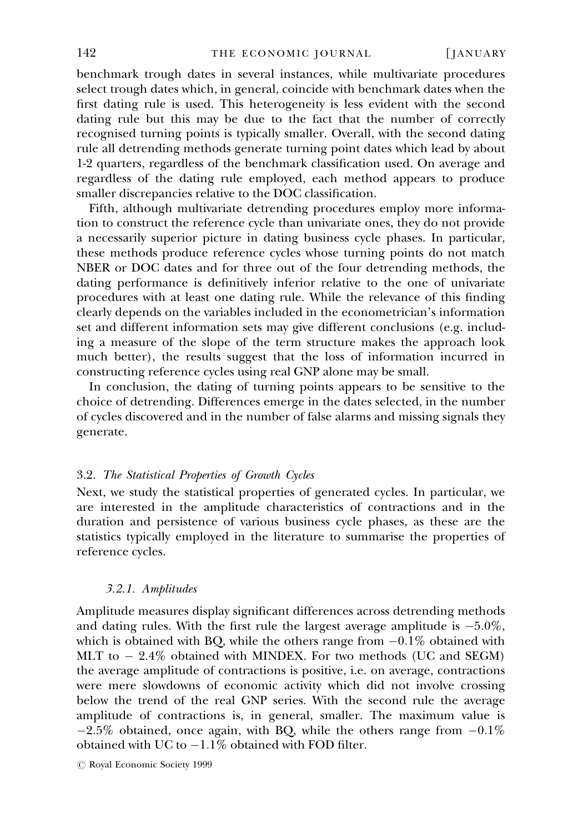benchmark trough dates in several instances, while multivariate procedures select trough dates which, in general, coincide with benchmark dates when the first dating rule is used. This heterogeneity is less evident with the second dating rule but this may be due to the fact that the number of correctly recognised turning points is typically smaller. Overall, with the second dating rule all detrending methods generate turning point dates which lead by about 1-2 quarters, regardless of the benchmark classification used. On average and regardless of the dating rule employed, each method appears to produce smaller discrepancies relative to the DOC classification.

Fifth, although multivariate detrending procedures employ more information to construct the reference cycle than univariate ones, they do not provide a necessarily superior picture in dating business cycle phases. In particular, these methods produce reference cycles whose turning points do not match NBER or DOC dates and for three out of the four detrending methods, the dating performance is definitively inferior relative to the one of univariate procedures with at least one dating rule. While the relevance of this finding clearly depends on the variables included in the econometrician's information set and different information sets may give different conclusions (e.g. including a measure of the slope of the term structure makes the approach look much better), the results suggest that the loss of information incurred in constructing reference cycles using real GNP alone may be small.

In conclusion, the dating of turning points appears to be sensitive to the choice of detrending. Differences emerge in the dates selected, in the number of cycles discovered and in the number of false alarms and missing signals they generate.

### 3.2. The Statistical Properties of Growth Cycles

Next, we study the statistical properties of generated cycles. In particular, we are interested in the amplitude characteristics of contractions and in the duration and persistence of various business cycle phases, as these are the statistics typically employed in the literature to summarise the properties of reference cycles.

### 3.2.1. Amplitudes

Amplitude measures display significant differences across detrending methods and dating rules. With the first rule the largest average amplitude is  $-5.0\%$ , which is obtained with BQ, while the others range from  $-0.1\%$  obtained with MLT to  $-2.4\%$  obtained with MINDEX. For two methods (UC and SEGM) the average amplitude of contractions is positive, i.e. on average, contractions were mere slowdowns of economic activity which did not involve crossing below the trend of the real GNP series. With the second rule the average amplitude of contractions is, in general, smaller. The maximum value is  $-2.5\%$  obtained, once again, with BQ, while the others range from  $-0.1\%$ obtained with UC to  $-1.1\%$  obtained with FOD filter.

 $\oslash$  Royal Economic Society 1999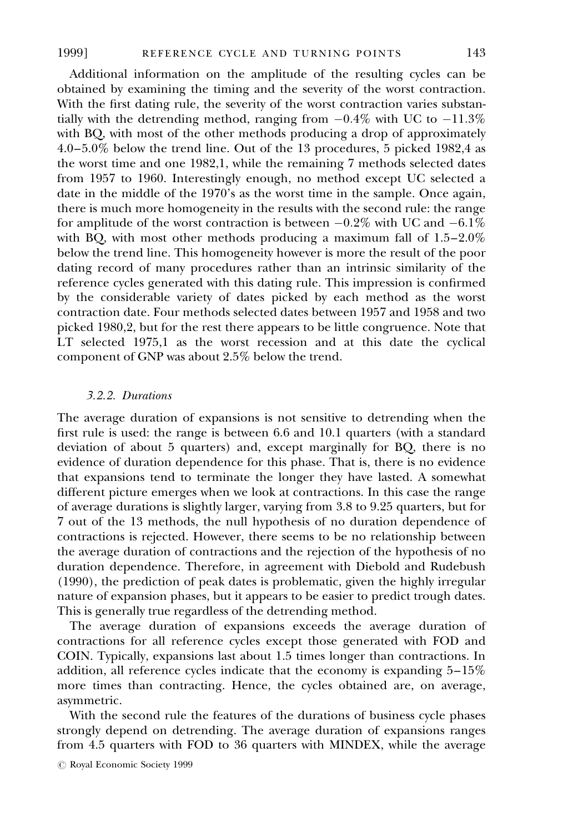Additional information on the amplitude of the resulting cycles can be obtained by examining the timing and the severity of the worst contraction. With the first dating rule, the severity of the worst contraction varies substantially with the detrending method, ranging from  $-0.4\%$  with UC to  $-11.3\%$ with BQ, with most of the other methods producing a drop of approximately  $4.0-5.0\%$  below the trend line. Out of the 13 procedures, 5 picked 1982,4 as the worst time and one 1982,1, while the remaining 7 methods selected dates from 1957 to 1960. Interestingly enough, no method except UC selected a date in the middle of the 1970's as the worst time in the sample. Once again, there is much more homogeneity in the results with the second rule: the range for amplitude of the worst contraction is between  $-0.2\%$  with UC and  $-6.1\%$ with BQ, with most other methods producing a maximum fall of  $1.5-2.0\%$ below the trend line. This homogeneity however is more the result of the poor dating record of many procedures rather than an intrinsic similarity of the reference cycles generated with this dating rule. This impression is confirmed by the considerable variety of dates picked by each method as the worst contraction date. Four methods selected dates between 1957 and 1958 and two picked 1980,2, but for the rest there appears to be little congruence. Note that LT selected 1975,1 as the worst recession and at this date the cyclical component of GNP was about 2.5% below the trend.

#### 3.2.2. Durations

The average duration of expansions is not sensitive to detrending when the first rule is used: the range is between 6.6 and 10.1 quarters (with a standard deviation of about 5 quarters) and, except marginally for BQ, there is no evidence of duration dependence for this phase. That is, there is no evidence that expansions tend to terminate the longer they have lasted. A somewhat different picture emerges when we look at contractions. In this case the range of average durations is slightly larger, varying from 3.8 to 9.25 quarters, but for 7 out of the 13 methods, the null hypothesis of no duration dependence of contractions is rejected. However, there seems to be no relationship between the average duration of contractions and the rejection of the hypothesis of no duration dependence. Therefore, in agreement with Diebold and Rudebush (1990), the prediction of peak dates is problematic, given the highly irregular nature of expansion phases, but it appears to be easier to predict trough dates. This is generally true regardless of the detrending method.

The average duration of expansions exceeds the average duration of contractions for all reference cycles except those generated with FOD and COIN. Typically, expansions last about 1.5 times longer than contractions. In addition, all reference cycles indicate that the economy is expanding  $5-15\%$ more times than contracting. Hence, the cycles obtained are, on average, asymmetric.

With the second rule the features of the durations of business cycle phases strongly depend on detrending. The average duration of expansions ranges from 4.5 quarters with FOD to 36 quarters with MINDEX, while the average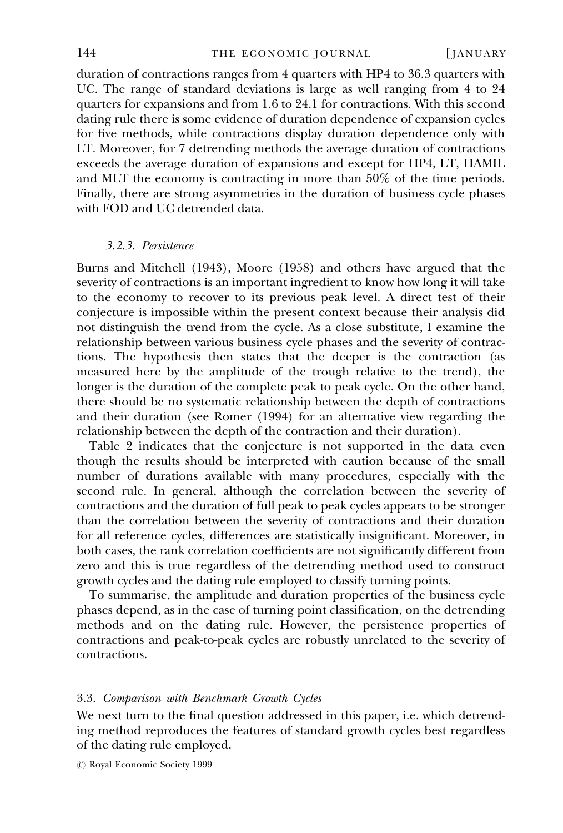duration of contractions ranges from 4 quarters with HP4 to 36.3 quarters with UC. The range of standard deviations is large as well ranging from 4 to 24 quarters for expansions and from 1.6 to 24.1 for contractions. With this second dating rule there is some evidence of duration dependence of expansion cycles for five methods, while contractions display duration dependence only with LT. Moreover, for 7 detrending methods the average duration of contractions exceeds the average duration of expansions and except for HP4, LT, HAMIL and MLT the economy is contracting in more than 50% of the time periods. Finally, there are strong asymmetries in the duration of business cycle phases with FOD and UC detrended data.

### 3.2.3. Persistence

Burns and Mitchell (1943), Moore (1958) and others have argued that the severity of contractions is an important ingredient to know how long it will take to the economy to recover to its previous peak level. A direct test of their conjecture is impossible within the present context because their analysis did not distinguish the trend from the cycle. As a close substitute, I examine the relationship between various business cycle phases and the severity of contractions. The hypothesis then states that the deeper is the contraction (as measured here by the amplitude of the trough relative to the trend), the longer is the duration of the complete peak to peak cycle. On the other hand, there should be no systematic relationship between the depth of contractions and their duration (see Romer (1994) for an alternative view regarding the relationship between the depth of the contraction and their duration).

Table 2 indicates that the conjecture is not supported in the data even though the results should be interpreted with caution because of the small number of durations available with many procedures, especially with the second rule. In general, although the correlation between the severity of contractions and the duration of full peak to peak cycles appears to be stronger than the correlation between the severity of contractions and their duration for all reference cycles, differences are statistically insignificant. Moreover, in both cases, the rank correlation coefficients are not significantly different from zero and this is true regardless of the detrending method used to construct growth cycles and the dating rule employed to classify turning points.

To summarise, the amplitude and duration properties of the business cycle phases depend, as in the case of turning point classification, on the detrending methods and on the dating rule. However, the persistence properties of contractions and peak-to-peak cycles are robustly unrelated to the severity of contractions.

### 3.3. Comparison with Benchmark Growth Cycles

We next turn to the final question addressed in this paper, i.e. which detrending method reproduces the features of standard growth cycles best regardless of the dating rule employed.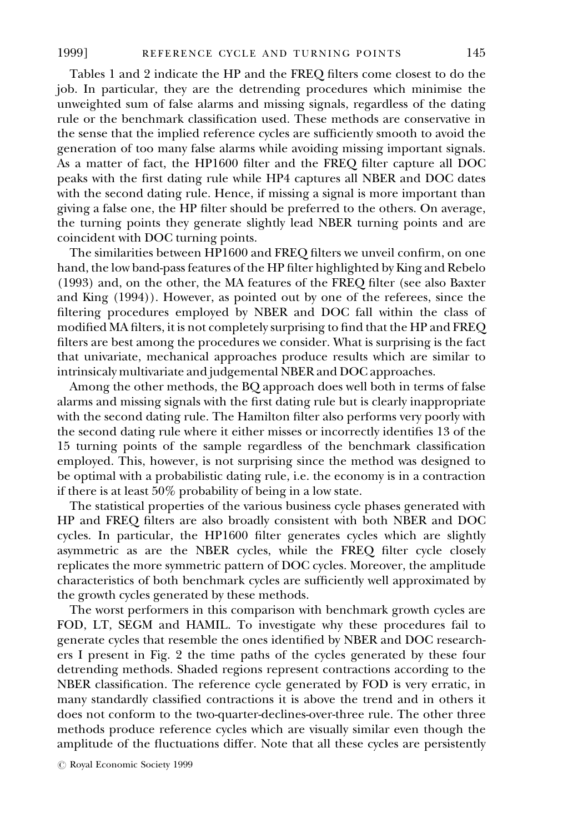Tables 1 and 2 indicate the HP and the FREQ filters come closest to do the job. In particular, they are the detrending procedures which minimise the unweighted sum of false alarms and missing signals, regardless of the dating rule or the benchmark classification used. These methods are conservative in the sense that the implied reference cycles are sufficiently smooth to avoid the generation of too many false alarms while avoiding missing important signals. As a matter of fact, the HP1600 filter and the FREQ filter capture all DOC peaks with the first dating rule while HP4 captures all NBER and DOC dates with the second dating rule. Hence, if missing a signal is more important than giving a false one, the HP filter should be preferred to the others. On average, the turning points they generate slightly lead NBER turning points and are coincident with DOC turning points.

The similarities between HP1600 and FREQ filters we unveil confirm, on one hand, the low band-pass features of the HP filter highlighted by King and Rebelo  $(1993)$  and, on the other, the MA features of the FREQ filter (see also Baxter and King (1994)). However, as pointed out by one of the referees, since the filtering procedures employed by NBER and DOC fall within the class of modified MA filters, it is not completely surprising to find that the HP and FREQ filters are best among the procedures we consider. What is surprising is the fact that univariate, mechanical approaches produce results which are similar to intrinsicaly multivariate and judgemental NBER and DOC approaches.

Among the other methods, the BQ approach does well both in terms of false alarms and missing signals with the first dating rule but is clearly inappropriate with the second dating rule. The Hamilton filter also performs very poorly with the second dating rule where it either misses or incorrectly identifies 13 of the 15 turning points of the sample regardless of the benchmark classification employed. This, however, is not surprising since the method was designed to be optimal with a probabilistic dating rule, i.e. the economy is in a contraction if there is at least 50% probability of being in a low state.

The statistical properties of the various business cycle phases generated with HP and FREQ filters are also broadly consistent with both NBER and DOC cycles. In particular, the HP1600 filter generates cycles which are slightly asymmetric as are the NBER cycles, while the FREQ filter cycle closely replicates the more symmetric pattern of DOC cycles. Moreover, the amplitude characteristics of both benchmark cycles are sufficiently well approximated by the growth cycles generated by these methods.

The worst performers in this comparison with benchmark growth cycles are FOD, LT, SEGM and HAMIL. To investigate why these procedures fail to generate cycles that resemble the ones identified by NBER and DOC researchers I present in Fig. 2 the time paths of the cycles generated by these four detrending methods. Shaded regions represent contractions according to the NBER classification. The reference cycle generated by FOD is very erratic, in many standardly classified contractions it is above the trend and in others it does not conform to the two-quarter-declines-over-three rule. The other three methods produce reference cycles which are visually similar even though the amplitude of the fluctuations differ. Note that all these cycles are persistently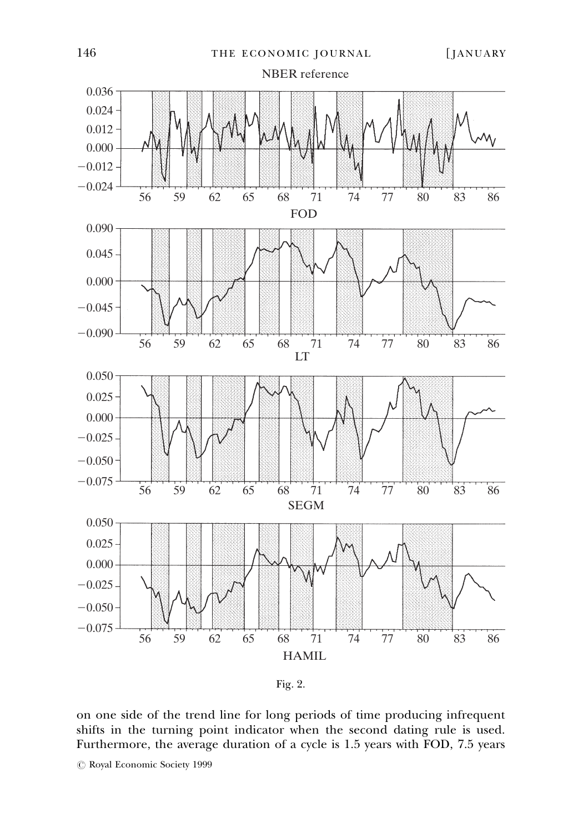

Fig. 2.

on one side of the trend line for long periods of time producing infrequent shifts in the turning point indicator when the second dating rule is used. Furthermore, the average duration of a cycle is 1.5 years with FOD, 7.5 years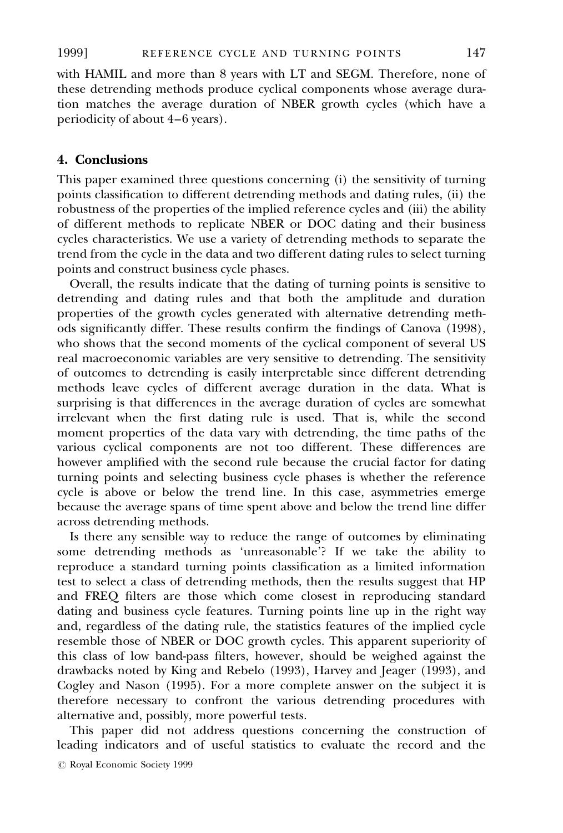1999] REFERENCE CYCLE AND TURNING POINTS 147

with HAMIL and more than 8 years with LT and SEGM. Therefore, none of these detrending methods produce cyclical components whose average duration matches the average duration of NBER growth cycles (which have a periodicity of about 4–6 years).

## 4. Conclusions

This paper examined three questions concerning (i) the sensitivity of turning points classification to different detrending methods and dating rules, (ii) the robustness of the properties of the implied reference cycles and (iii) the ability of different methods to replicate NBER or DOC dating and their business cycles characteristics. We use a variety of detrending methods to separate the trend from the cycle in the data and two different dating rules to select turning points and construct business cycle phases.

Overall, the results indicate that the dating of turning points is sensitive to detrending and dating rules and that both the amplitude and duration properties of the growth cycles generated with alternative detrending methods significantly differ. These results confirm the findings of Canova (1998), who shows that the second moments of the cyclical component of several US real macroeconomic variables are very sensitive to detrending. The sensitivity of outcomes to detrending is easily interpretable since different detrending methods leave cycles of different average duration in the data. What is surprising is that differences in the average duration of cycles are somewhat irrelevant when the first dating rule is used. That is, while the second moment properties of the data vary with detrending, the time paths of the various cyclical components are not too different. These differences are however amplified with the second rule because the crucial factor for dating turning points and selecting business cycle phases is whether the reference cycle is above or below the trend line. In this case, asymmetries emerge because the average spans of time spent above and below the trend line differ across detrending methods.

Is there any sensible way to reduce the range of outcomes by eliminating some detrending methods as `unreasonable'? If we take the ability to reproduce a standard turning points classification as a limited information test to select a class of detrending methods, then the results suggest that HP and FREQ filters are those which come closest in reproducing standard dating and business cycle features. Turning points line up in the right way and, regardless of the dating rule, the statistics features of the implied cycle resemble those of NBER or DOC growth cycles. This apparent superiority of this class of low band-pass filters, however, should be weighed against the drawbacks noted by King and Rebelo (1993), Harvey and Jeager (1993), and Cogley and Nason (1995). For a more complete answer on the subject it is therefore necessary to confront the various detrending procedures with alternative and, possibly, more powerful tests.

This paper did not address questions concerning the construction of leading indicators and of useful statistics to evaluate the record and the

 $\oslash$  Royal Economic Society 1999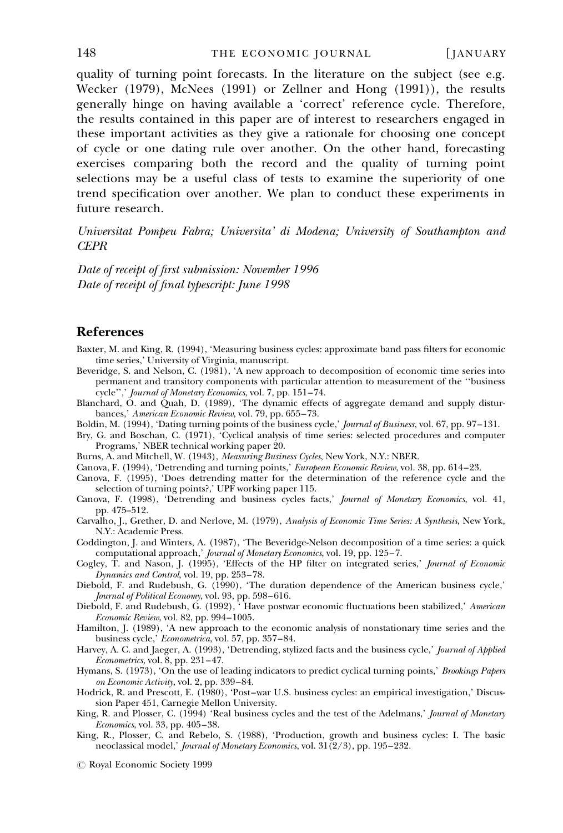quality of turning point forecasts. In the literature on the subject (see e.g. Wecker (1979), McNees (1991) or Zellner and Hong (1991)), the results generally hinge on having available a 'correct' reference cycle. Therefore, the results contained in this paper are of interest to researchers engaged in these important activities as they give a rationale for choosing one concept of cycle or one dating rule over another. On the other hand, forecasting exercises comparing both the record and the quality of turning point selections may be a useful class of tests to examine the superiority of one trend specification over another. We plan to conduct these experiments in future research.

Universitat Pompeu Fabra; Universita' di Modena; University of Southampton and CEPR

Date of receipt of first submission: November 1996 Date of receipt of final typescript: June 1998

### References

- Baxter, M. and King, R. (1994), 'Measuring business cycles: approximate band pass filters for economic time series,' University of Virginia, manuscript.
- Beveridge, S. and Nelson, C. (1981), `A new approach to decomposition of economic time series into permanent and transitory components with particular attention to measurement of the "business cycle",' Journal of Monetary Economics, vol. 7, pp. 151-74.
- Blanchard, O. and Quah, D. (1989), 'The dynamic effects of aggregate demand and supply disturbances,' American Economic Review, vol. 79, pp. 655-73.
- Boldin, M. (1994), 'Dating turning points of the business cycle,' *Journal of Business*, vol. 67, pp. 97–131.
- Bry, G. and Boschan, C. (1971), `Cyclical analysis of time series: selected procedures and computer Programs,' NBER technical working paper 20.
- Burns, A. and Mitchell, W. (1943), Measuring Business Cycles, New York, N.Y.: NBER.
- Canova, F. (1994), 'Detrending and turning points,' European Economic Review, vol. 38, pp. 614-23.

Canova, F. (1995), `Does detrending matter for the determination of the reference cycle and the selection of turning points?,' UPF working paper 115.

- Canova, F. (1998), 'Detrending and business cycles facts,' Journal of Monetary Economics, vol. 41, pp. 475-512.
- Carvalho, J., Grether, D. and Nerlove, M. (1979), Analysis of Economic Time Series: A Synthesis, New York, N.Y.: Academic Press.
- Coddington, J. and Winters, A. (1987), `The Beveridge-Nelson decomposition of a time series: a quick computational approach,' Journal of Monetary Economics, vol. 19, pp. 125-7.
- Cogley, T. and Nason, J. (1995), 'Effects of the HP filter on integrated series,' Journal of Economic Dynamics and Control, vol. 19, pp. 253-78.
- Diebold, F. and Rudebush, G. (1990), 'The duration dependence of the American business cycle,' Journal of Political Economy, vol. 93, pp. 598-616.
- Diebold, F. and Rudebush, G. (1992), <sup>\*</sup> Have postwar economic fluctuations been stabilized,' American Economic Review, vol. 82, pp. 994-1005.
- Hamilton, J. (1989), `A new approach to the economic analysis of nonstationary time series and the business cycle,' Econometrica, vol. 57, pp. 357-84.
- Harvey, A. C. and Jaeger, A. (1993), 'Detrending, stylized facts and the business cycle,' Journal of Applied Econometrics, vol. 8, pp. 231-47.
- Hymans, S. (1973), 'On the use of leading indicators to predict cyclical turning points,' Brookings Papers on Economic Activity, vol. 2, pp. 339-84.
- Hodrick, R. and Prescott, E. (1980), 'Post-war U.S. business cycles: an empirical investigation,' Discussion Paper 451, Carnegie Mellon University.
- King, R. and Plosser, C. (1994) 'Real business cycles and the test of the Adelmans,' Journal of Monetary Economics, vol. 33, pp. 405-38.
- King, R., Plosser, C. and Rebelo, S. (1988), 'Production, growth and business cycles: I. The basic neoclassical model,' *Journal of Monetary Economics*, vol.  $31(2/3)$ , pp. 195-232.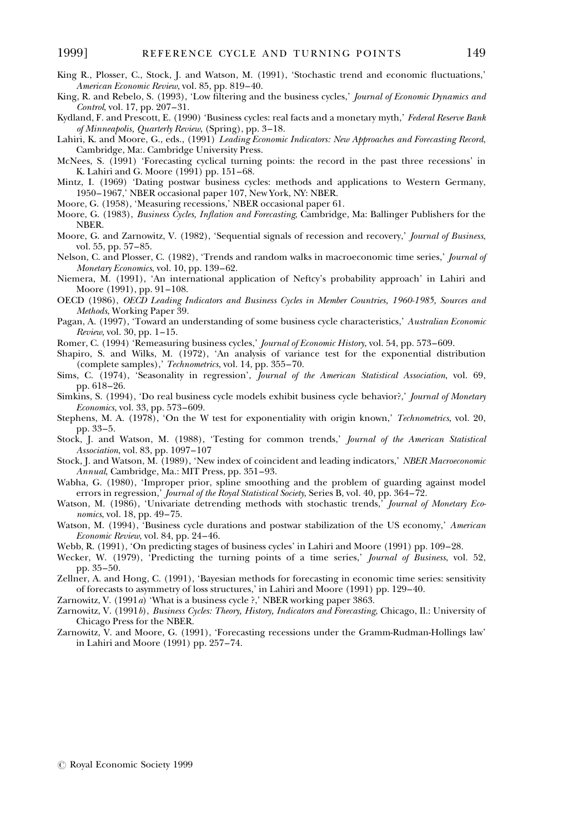- King R., Plosser, C., Stock, J. and Watson, M. (1991), 'Stochastic trend and economic fluctuations,' American Economic Review, vol. 85, pp. 819-40.
- King, R. and Rebelo, S. (1993), 'Low filtering and the business cycles,' Journal of Economic Dynamics and Control, vol. 17, pp. 207-31.
- Kydland, F. and Prescott, E. (1990) 'Business cycles: real facts and a monetary myth,' Federal Reserve Bank of Minneapolis, Quarterly Review, (Spring), pp. 3-18.
- Lahiri, K. and Moore, G., eds., (1991) Leading Economic Indicators: New Approaches and Forecasting Record, Cambridge, Ma:. Cambridge University Press.
- McNees, S. (1991) `Forecasting cyclical turning points: the record in the past three recessions' in K. Lahiri and G. Moore (1991) pp. 151-68.
- Mintz, I. (1969) `Dating postwar business cycles: methods and applications to Western Germany, 1950±1967,' NBER occasional paper 107, New York, NY: NBER.
- Moore, G. (1958), `Measuring recessions,' NBER occasional paper 61.
- Moore, G. (1983), Business Cycles, Inflation and Forecasting, Cambridge, Ma: Ballinger Publishers for the NBER.
- Moore, G. and Zarnowitz, V. (1982), 'Sequential signals of recession and recovery,' Journal of Business, vol. 55, pp. 57-85.
- Nelson, C. and Plosser, C. (1982), 'Trends and random walks in macroeconomic time series,' *Journal of* Monetary Economics, vol. 10, pp. 139-62.
- Niemera, M. (1991), `An international application of Neftcy's probability approach' in Lahiri and Moore  $(1991)$ , pp.  $91-108$ .
- OECD (1986), OECD Leading Indicators and Business Cycles in Member Countries, 1960-1985, Sources and Methods, Working Paper 39.
- Pagan, A. (1997), 'Toward an understanding of some business cycle characteristics,' Australian Economic  $Review$ , vol. 30, pp.  $1-15$ .
- Romer, C. (1994) 'Remeasuring business cycles,' Journal of Economic History, vol. 54, pp. 573–609.
- Shapiro, S. and Wilks, M. (1972), `An analysis of variance test for the exponential distribution (complete samples),' Technometrics, vol. 14, pp. 355-70.
- Sims, C. (1974), 'Seasonality in regression', Journal of the American Statistical Association, vol. 69, pp. 618±26.
- Simkins, S. (1994), 'Do real business cycle models exhibit business cycle behavior?,' *Journal of Monetary* Economics, vol. 33, pp. 573-609.
- Stephens, M. A. (1978), 'On the W test for exponentiality with origin known,' Technometrics, vol. 20, pp. 33±5.
- Stock, J. and Watson, M. (1988), 'Testing for common trends,' Journal of the American Statistical Association, vol. 83, pp. 1097-107
- Stock, J. and Watson, M. (1989), `New index of coincident and leading indicators,' NBER Macroeconomic Annual, Cambridge, Ma.: MIT Press, pp. 351-93.
- Wabha, G. (1980), 'Improper prior, spline smoothing and the problem of guarding against model errors in regression,' Journal of the Royal Statistical Society, Series B, vol. 40, pp. 364–72.
- Watson, M. (1986), 'Univariate detrending methods with stochastic trends,' Journal of Monetary Economics, vol. 18, pp. 49-75.
- Watson, M. (1994), 'Business cycle durations and postwar stabilization of the US economy,' American Economic Review, vol. 84, pp. 24-46.
- Webb, R. (1991), 'On predicting stages of business cycles' in Lahiri and Moore (1991) pp. 109-28.
- Wecker, W. (1979), 'Predicting the turning points of a time series,' Journal of Business, vol. 52, pp. 35±50.
- Zellner, A. and Hong, C. (1991), `Bayesian methods for forecasting in economic time series: sensitivity of forecasts to asymmetry of loss structures,' in Lahiri and Moore (1991) pp. 129–40.
- Zarnowitz, V. (1991a) `What is a business cycle ?,' NBER working paper 3863.
- Zarnowitz, V. (1991b), Business Cycles: Theory, History, Indicators and Forecasting, Chicago, Il.: University of Chicago Press for the NBER.
- Zarnowitz, V. and Moore, G. (1991), 'Forecasting recessions under the Gramm-Rudman-Hollings law' in Lahiri and Moore  $(1991)$  pp.  $257-74$ .